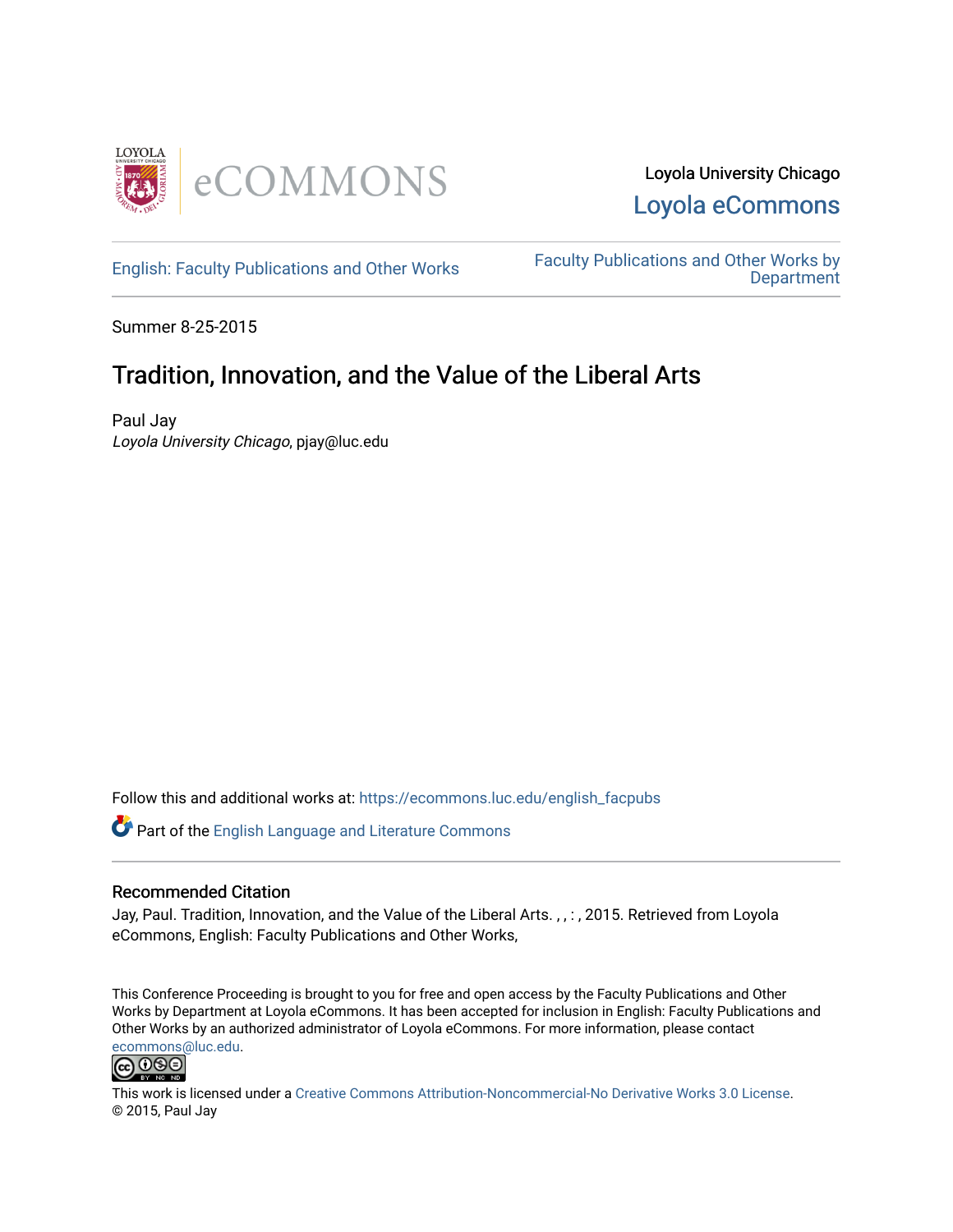

[English: Faculty Publications and Other Works](https://ecommons.luc.edu/english_facpubs) Faculty Publications and Other Works by **Department** 

Summer 8-25-2015

# Tradition, Innovation, and the Value of the Liberal Arts

Paul Jay Loyola University Chicago, pjay@luc.edu

Follow this and additional works at: [https://ecommons.luc.edu/english\\_facpubs](https://ecommons.luc.edu/english_facpubs?utm_source=ecommons.luc.edu%2Fenglish_facpubs%2F89&utm_medium=PDF&utm_campaign=PDFCoverPages) 

Part of the [English Language and Literature Commons](https://network.bepress.com/hgg/discipline/455?utm_source=ecommons.luc.edu%2Fenglish_facpubs%2F89&utm_medium=PDF&utm_campaign=PDFCoverPages)

#### Recommended Citation

Jay, Paul. Tradition, Innovation, and the Value of the Liberal Arts. , , : , 2015. Retrieved from Loyola eCommons, English: Faculty Publications and Other Works,

This Conference Proceeding is brought to you for free and open access by the Faculty Publications and Other Works by Department at Loyola eCommons. It has been accepted for inclusion in English: Faculty Publications and Other Works by an authorized administrator of Loyola eCommons. For more information, please contact [ecommons@luc.edu](mailto:ecommons@luc.edu).



This work is licensed under a [Creative Commons Attribution-Noncommercial-No Derivative Works 3.0 License.](https://creativecommons.org/licenses/by-nc-nd/3.0/) © 2015, Paul Jay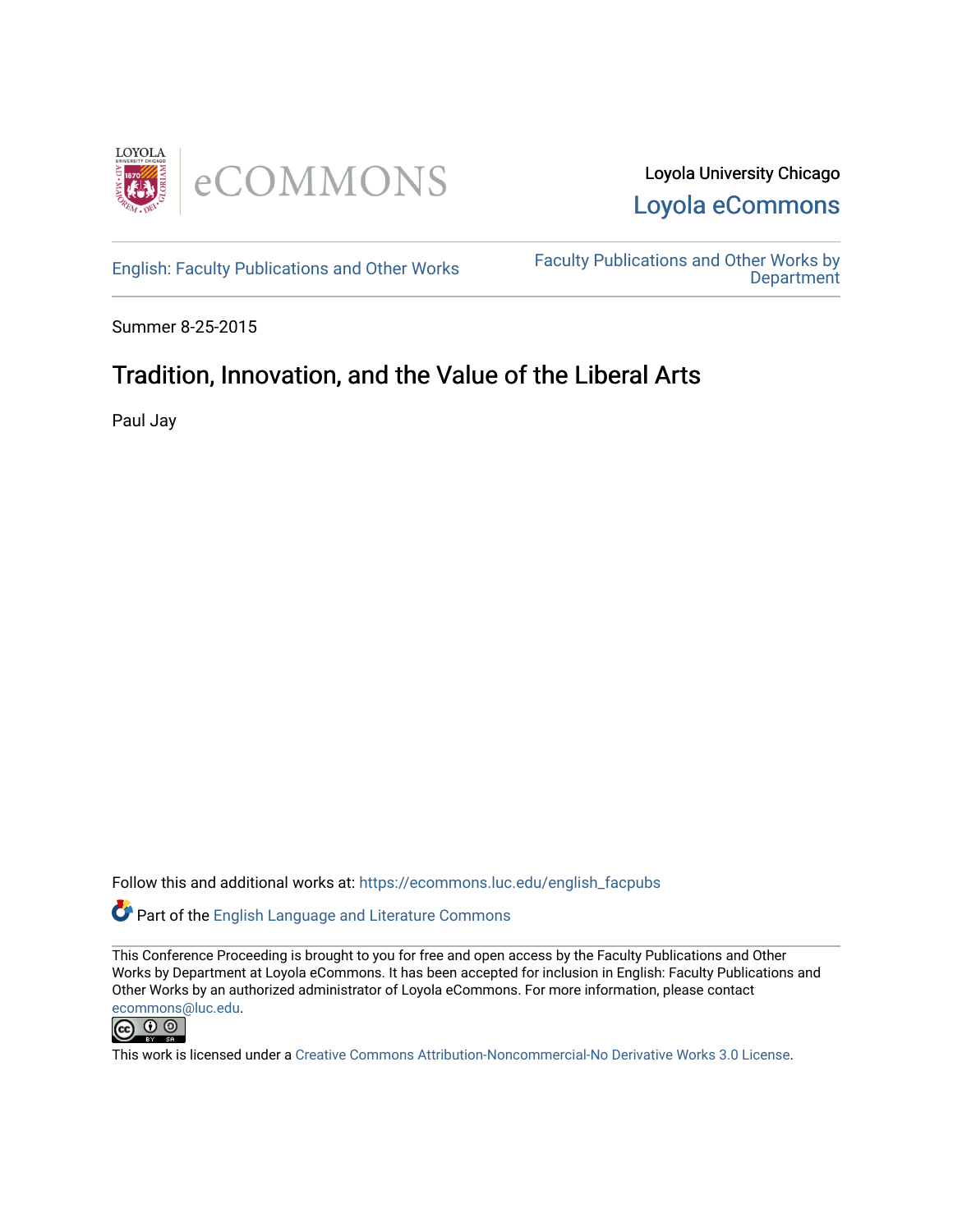



[English: Faculty Publications and Other Works](https://ecommons.luc.edu/english_facpubs) Faculty Publications and Other Works by **Department** 

Summer 8-25-2015

# Tradition, Innovation, and the Value of the Liberal Arts

Paul Jay

Follow this and additional works at: [https://ecommons.luc.edu/english\\_facpubs](https://ecommons.luc.edu/english_facpubs?utm_source=ecommons.luc.edu%2Fenglish_facpubs%2F1&utm_medium=PDF&utm_campaign=PDFCoverPages) 

**C** Part of the [English Language and Literature Commons](http://network.bepress.com/hgg/discipline/455?utm_source=ecommons.luc.edu%2Fenglish_facpubs%2F1&utm_medium=PDF&utm_campaign=PDFCoverPages)

This Conference Proceeding is brought to you for free and open access by the Faculty Publications and Other Works by Department at Loyola eCommons. It has been accepted for inclusion in English: Faculty Publications and Other Works by an authorized administrator of Loyola eCommons. For more information, please contact [ecommons@luc.edu](mailto:ecommons@luc.edu).



This work is licensed under a [Creative Commons Attribution-Noncommercial-No Derivative Works 3.0 License.](https://creativecommons.org/licenses/by-nc-nd/3.0/)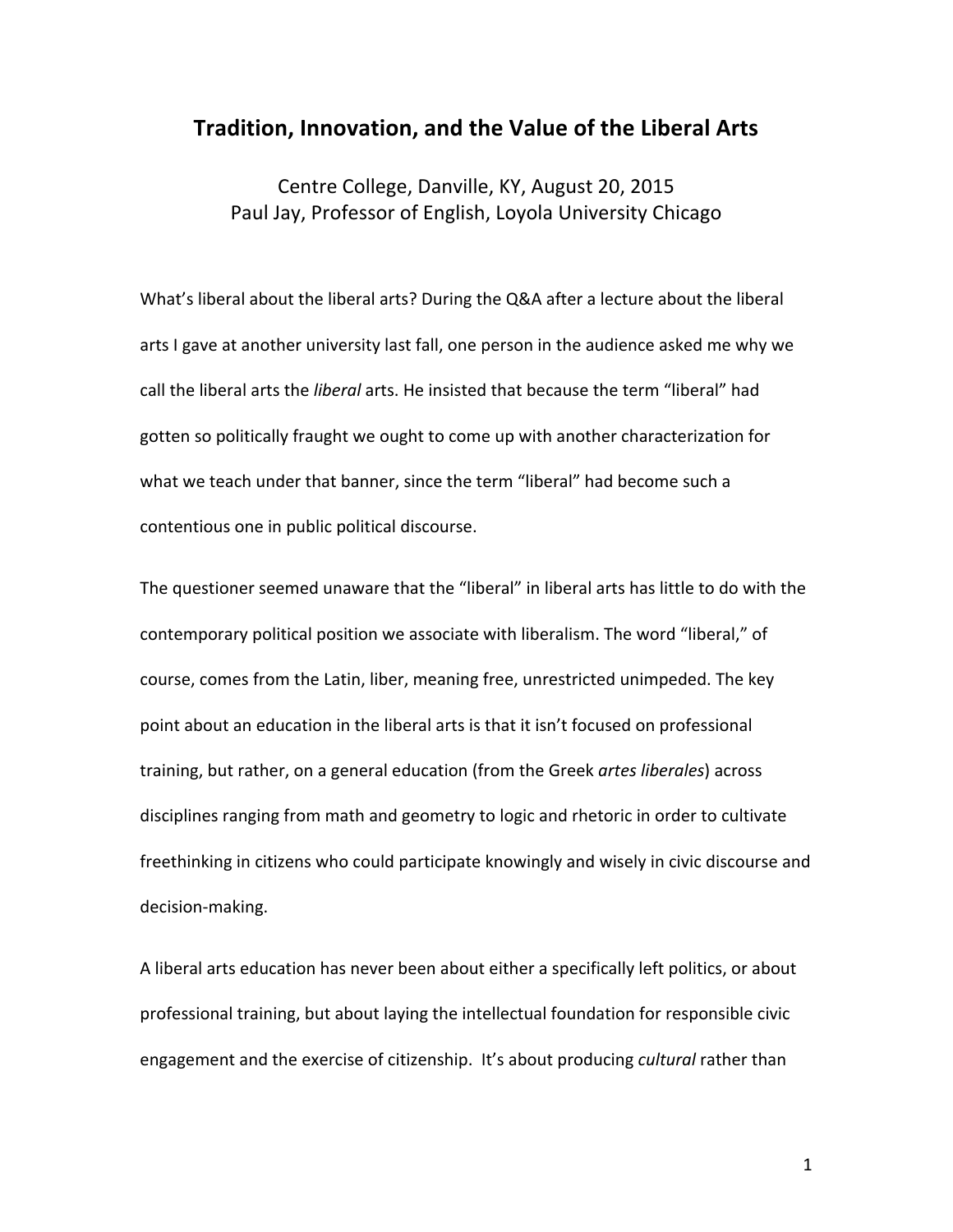### **Tradition, Innovation, and the Value of the Liberal Arts**

Centre College, Danville, KY, August 20, 2015 Paul Jay, Professor of English, Loyola University Chicago

What's liberal about the liberal arts? During the Q&A after a lecture about the liberal arts I gave at another university last fall, one person in the audience asked me why we call the liberal arts the *liberal* arts. He insisted that because the term "liberal" had gotten so politically fraught we ought to come up with another characterization for what we teach under that banner, since the term "liberal" had become such a contentious one in public political discourse.

The questioner seemed unaware that the "liberal" in liberal arts has little to do with the contemporary political position we associate with liberalism. The word "liberal," of course, comes from the Latin, liber, meaning free, unrestricted unimpeded. The key point about an education in the liberal arts is that it isn't focused on professional training, but rather, on a general education (from the Greek *artes liberales*) across disciplines ranging from math and geometry to logic and rhetoric in order to cultivate freethinking in citizens who could participate knowingly and wisely in civic discourse and decision-making. 

A liberal arts education has never been about either a specifically left politics, or about professional training, but about laying the intellectual foundation for responsible civic engagement and the exercise of citizenship. It's about producing *cultural* rather than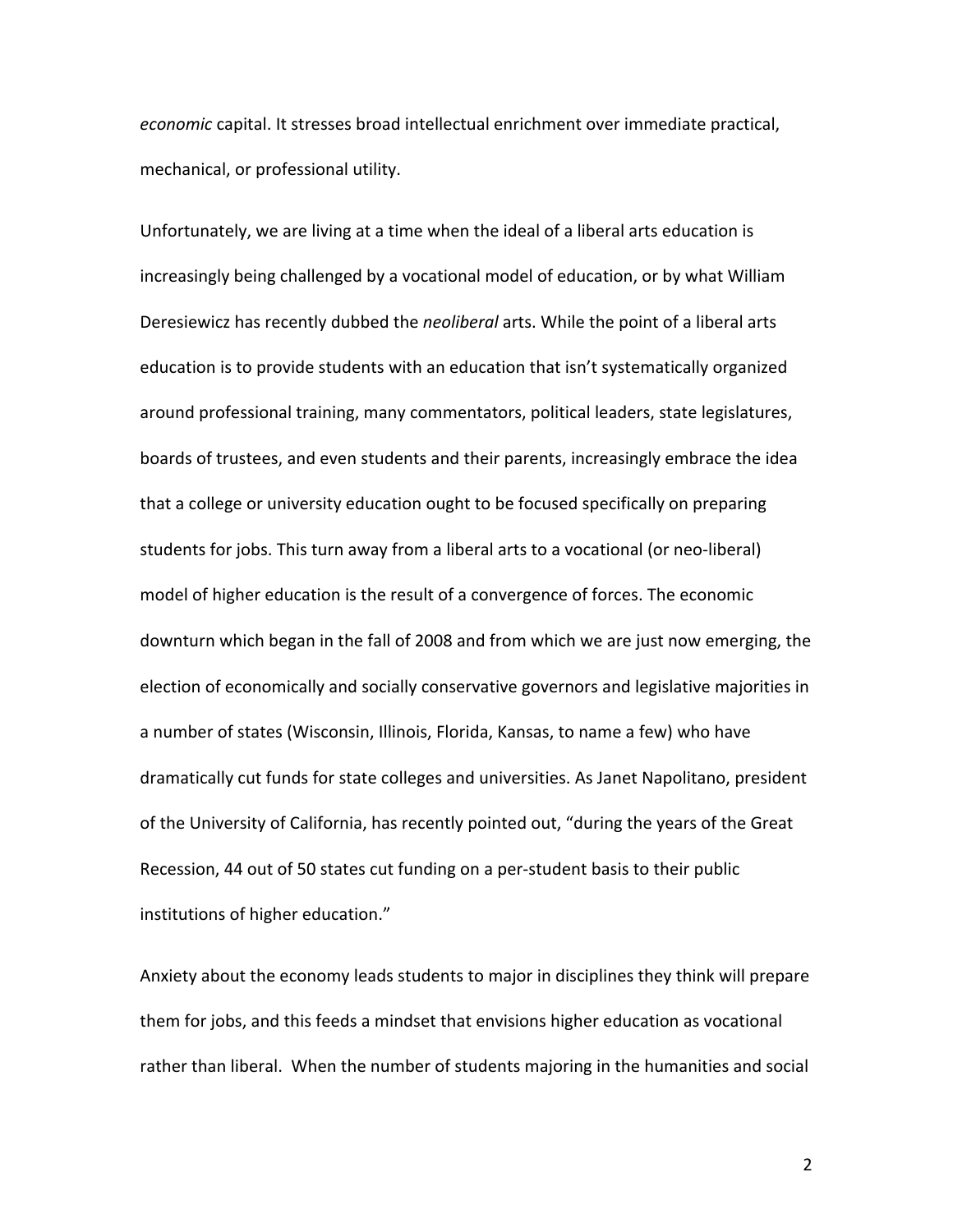economic capital. It stresses broad intellectual enrichment over immediate practical, mechanical, or professional utility.

Unfortunately, we are living at a time when the ideal of a liberal arts education is increasingly being challenged by a vocational model of education, or by what William Deresiewicz has recently dubbed the *neoliberal* arts. While the point of a liberal arts education is to provide students with an education that isn't systematically organized around professional training, many commentators, political leaders, state legislatures, boards of trustees, and even students and their parents, increasingly embrace the idea that a college or university education ought to be focused specifically on preparing students for jobs. This turn away from a liberal arts to a vocational (or neo-liberal) model of higher education is the result of a convergence of forces. The economic downturn which began in the fall of 2008 and from which we are just now emerging, the election of economically and socially conservative governors and legislative majorities in a number of states (Wisconsin, Illinois, Florida, Kansas, to name a few) who have dramatically cut funds for state colleges and universities. As Janet Napolitano, president of the University of California, has recently pointed out, "during the years of the Great Recession, 44 out of 50 states cut funding on a per-student basis to their public institutions of higher education."

Anxiety about the economy leads students to major in disciplines they think will prepare them for jobs, and this feeds a mindset that envisions higher education as vocational rather than liberal. When the number of students majoring in the humanities and social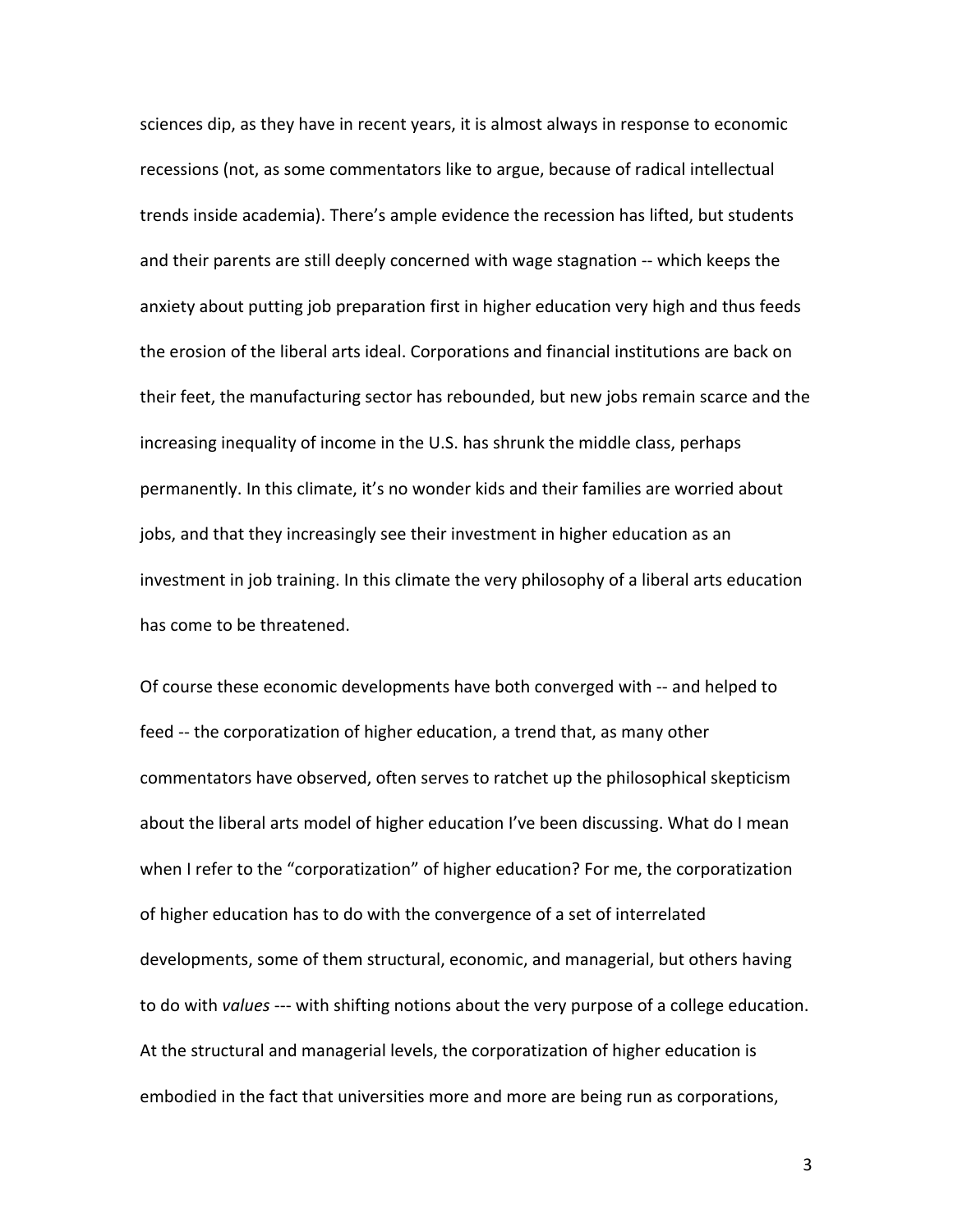sciences dip, as they have in recent years, it is almost always in response to economic recessions (not, as some commentators like to argue, because of radical intellectual trends inside academia). There's ample evidence the recession has lifted, but students and their parents are still deeply concerned with wage stagnation -- which keeps the anxiety about putting job preparation first in higher education very high and thus feeds the erosion of the liberal arts ideal. Corporations and financial institutions are back on their feet, the manufacturing sector has rebounded, but new jobs remain scarce and the increasing inequality of income in the U.S. has shrunk the middle class, perhaps permanently. In this climate, it's no wonder kids and their families are worried about jobs, and that they increasingly see their investment in higher education as an investment in job training. In this climate the very philosophy of a liberal arts education has come to be threatened.

Of course these economic developments have both converged with -- and helped to feed -- the corporatization of higher education, a trend that, as many other commentators have observed, often serves to ratchet up the philosophical skepticism about the liberal arts model of higher education I've been discussing. What do I mean when I refer to the "corporatization" of higher education? For me, the corporatization of higher education has to do with the convergence of a set of interrelated developments, some of them structural, economic, and managerial, but others having to do with *values* --- with shifting notions about the very purpose of a college education. At the structural and managerial levels, the corporatization of higher education is embodied in the fact that universities more and more are being run as corporations,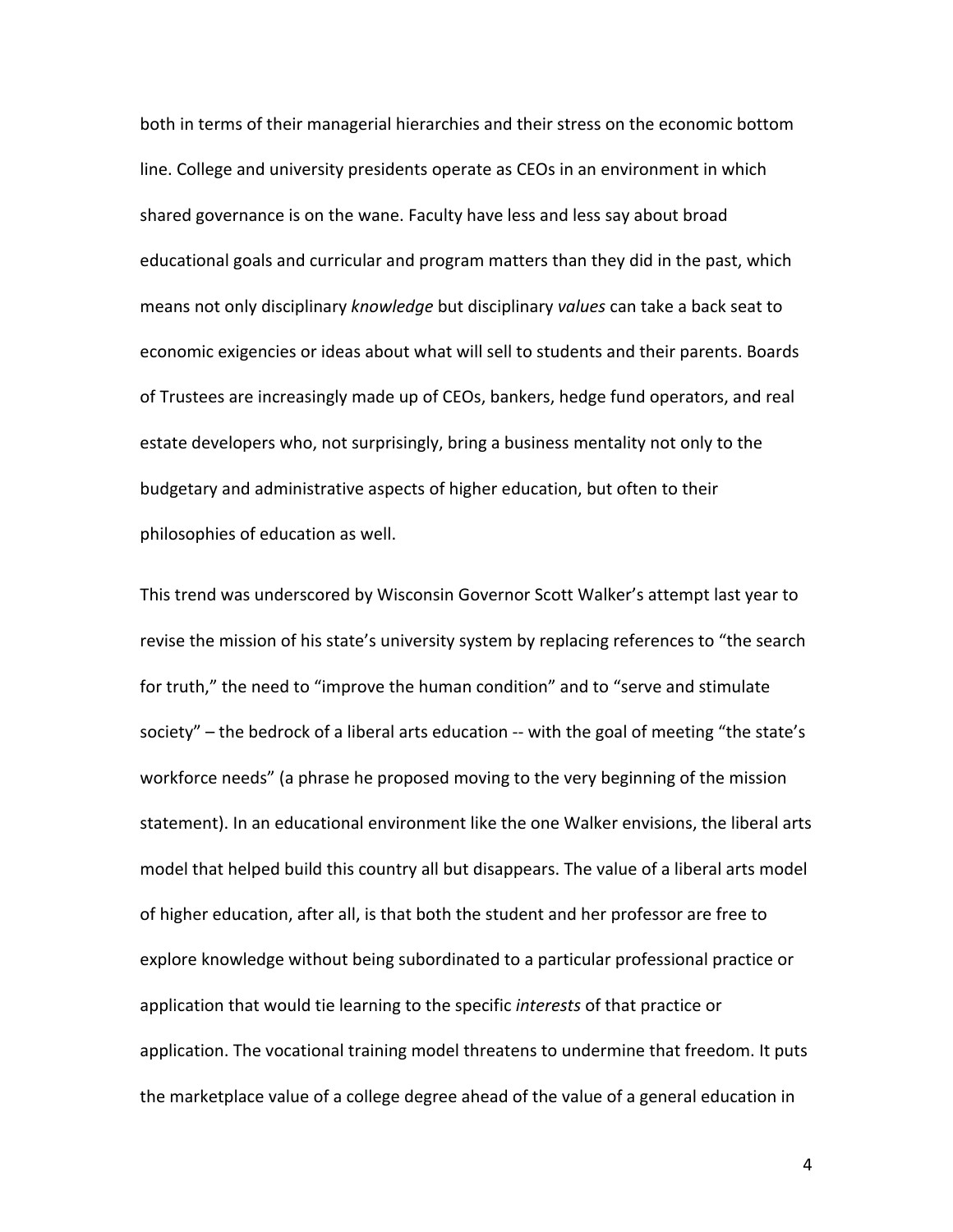both in terms of their managerial hierarchies and their stress on the economic bottom line. College and university presidents operate as CEOs in an environment in which shared governance is on the wane. Faculty have less and less say about broad educational goals and curricular and program matters than they did in the past, which means not only disciplinary *knowledge* but disciplinary *values* can take a back seat to economic exigencies or ideas about what will sell to students and their parents. Boards of Trustees are increasingly made up of CEOs, bankers, hedge fund operators, and real estate developers who, not surprisingly, bring a business mentality not only to the budgetary and administrative aspects of higher education, but often to their philosophies of education as well.

This trend was underscored by Wisconsin Governor Scott Walker's attempt last year to revise the mission of his state's university system by replacing references to "the search for truth," the need to "improve the human condition" and to "serve and stimulate society"  $-$  the bedrock of a liberal arts education  $-$  with the goal of meeting "the state's workforce needs" (a phrase he proposed moving to the very beginning of the mission statement). In an educational environment like the one Walker envisions, the liberal arts model that helped build this country all but disappears. The value of a liberal arts model of higher education, after all, is that both the student and her professor are free to explore knowledge without being subordinated to a particular professional practice or application that would tie learning to the specific *interests* of that practice or application. The vocational training model threatens to undermine that freedom. It puts the marketplace value of a college degree ahead of the value of a general education in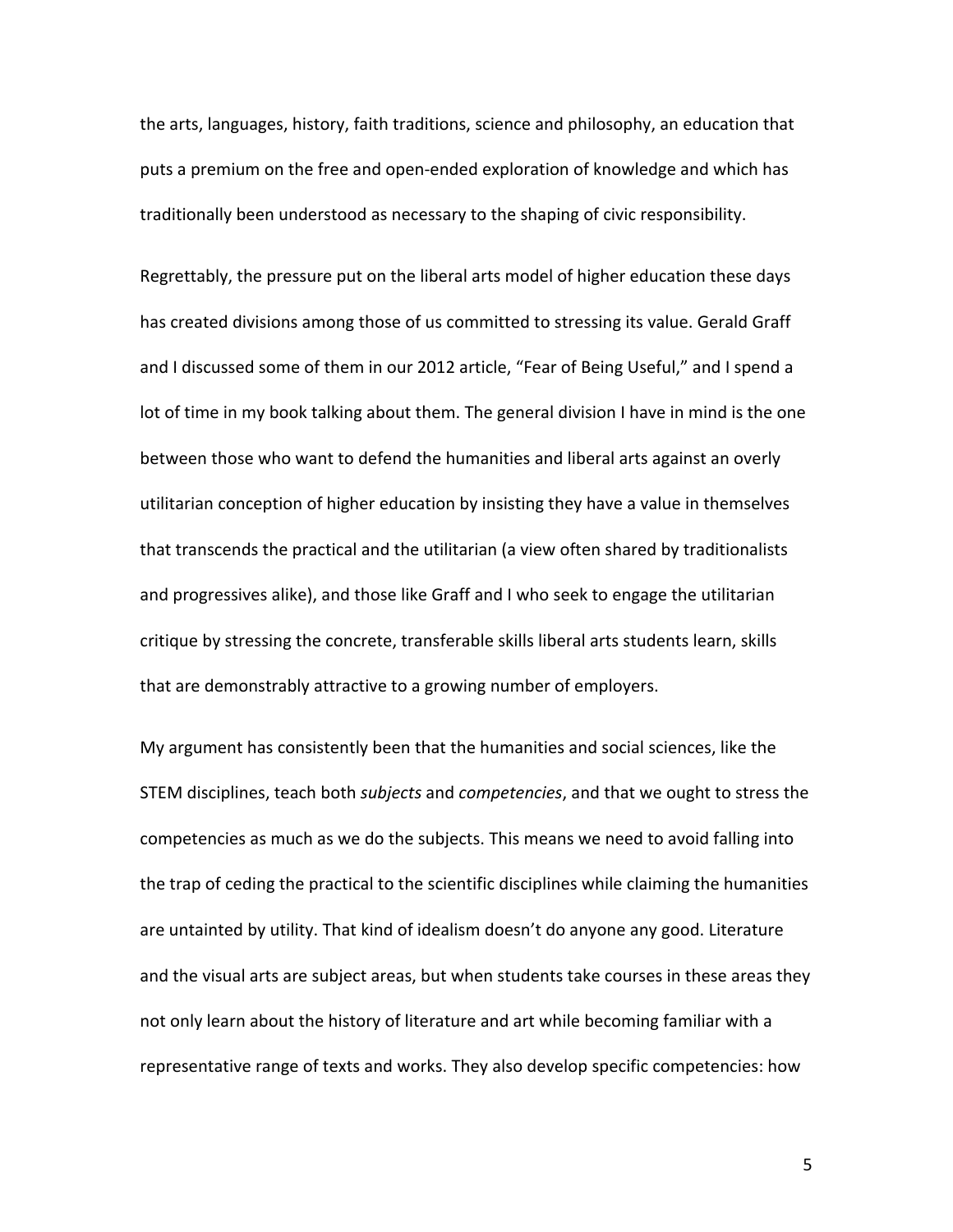the arts, languages, history, faith traditions, science and philosophy, an education that puts a premium on the free and open-ended exploration of knowledge and which has traditionally been understood as necessary to the shaping of civic responsibility.

Regrettably, the pressure put on the liberal arts model of higher education these days has created divisions among those of us committed to stressing its value. Gerald Graff and I discussed some of them in our 2012 article, "Fear of Being Useful," and I spend a lot of time in my book talking about them. The general division I have in mind is the one between those who want to defend the humanities and liberal arts against an overly utilitarian conception of higher education by insisting they have a value in themselves that transcends the practical and the utilitarian (a view often shared by traditionalists and progressives alike), and those like Graff and I who seek to engage the utilitarian critique by stressing the concrete, transferable skills liberal arts students learn, skills that are demonstrably attractive to a growing number of employers.

My argument has consistently been that the humanities and social sciences, like the STEM disciplines, teach both *subjects* and *competencies*, and that we ought to stress the competencies as much as we do the subjects. This means we need to avoid falling into the trap of ceding the practical to the scientific disciplines while claiming the humanities are untainted by utility. That kind of idealism doesn't do anyone any good. Literature and the visual arts are subject areas, but when students take courses in these areas they not only learn about the history of literature and art while becoming familiar with a representative range of texts and works. They also develop specific competencies: how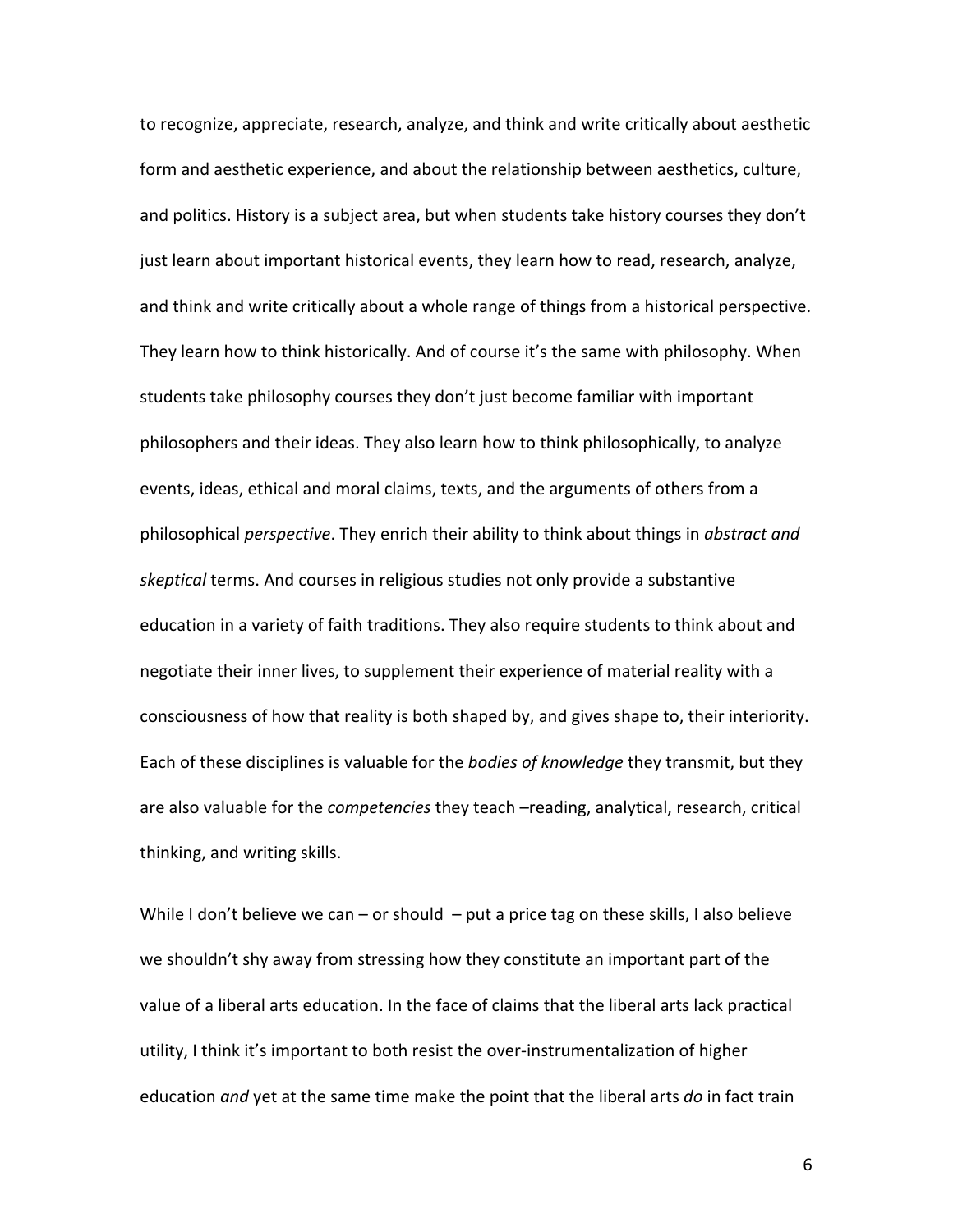to recognize, appreciate, research, analyze, and think and write critically about aesthetic form and aesthetic experience, and about the relationship between aesthetics, culture, and politics. History is a subject area, but when students take history courses they don't just learn about important historical events, they learn how to read, research, analyze, and think and write critically about a whole range of things from a historical perspective. They learn how to think historically. And of course it's the same with philosophy. When students take philosophy courses they don't just become familiar with important philosophers and their ideas. They also learn how to think philosophically, to analyze events, ideas, ethical and moral claims, texts, and the arguments of others from a philosophical *perspective*. They enrich their ability to think about things in *abstract and skeptical* terms. And courses in religious studies not only provide a substantive education in a variety of faith traditions. They also require students to think about and negotiate their inner lives, to supplement their experience of material reality with a consciousness of how that reality is both shaped by, and gives shape to, their interiority. Each of these disciplines is valuable for the *bodies of knowledge* they transmit, but they are also valuable for the *competencies* they teach –reading, analytical, research, critical thinking, and writing skills.

While I don't believe we can – or should  $-$  put a price tag on these skills, I also believe we shouldn't shy away from stressing how they constitute an important part of the value of a liberal arts education. In the face of claims that the liberal arts lack practical utility, I think it's important to both resist the over-instrumentalization of higher education *and* yet at the same time make the point that the liberal arts *do* in fact train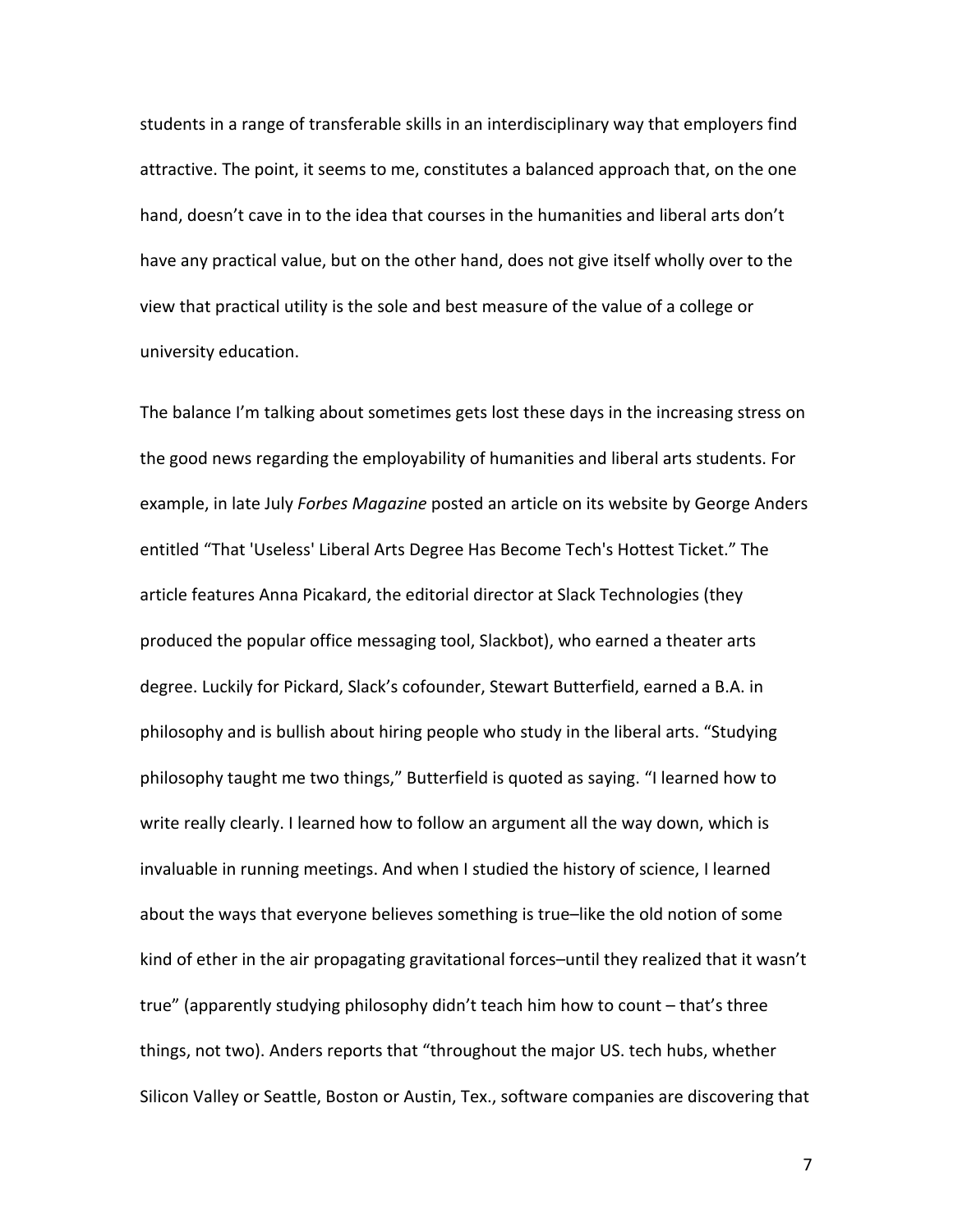students in a range of transferable skills in an interdisciplinary way that employers find attractive. The point, it seems to me, constitutes a balanced approach that, on the one hand, doesn't cave in to the idea that courses in the humanities and liberal arts don't have any practical value, but on the other hand, does not give itself wholly over to the view that practical utility is the sole and best measure of the value of a college or university education.

The balance I'm talking about sometimes gets lost these days in the increasing stress on the good news regarding the employability of humanities and liberal arts students. For example, in late July *Forbes Magazine* posted an article on its website by George Anders entitled "That 'Useless' Liberal Arts Degree Has Become Tech's Hottest Ticket." The article features Anna Picakard, the editorial director at Slack Technologies (they produced the popular office messaging tool, Slackbot), who earned a theater arts degree. Luckily for Pickard, Slack's cofounder, Stewart Butterfield, earned a B.A. in philosophy and is bullish about hiring people who study in the liberal arts. "Studying philosophy taught me two things," Butterfield is quoted as saying. "I learned how to write really clearly. I learned how to follow an argument all the way down, which is invaluable in running meetings. And when I studied the history of science, I learned about the ways that everyone believes something is true-like the old notion of some kind of ether in the air propagating gravitational forces–until they realized that it wasn't true" (apparently studying philosophy didn't teach him how to count – that's three things, not two). Anders reports that "throughout the major US. tech hubs, whether Silicon Valley or Seattle, Boston or Austin, Tex., software companies are discovering that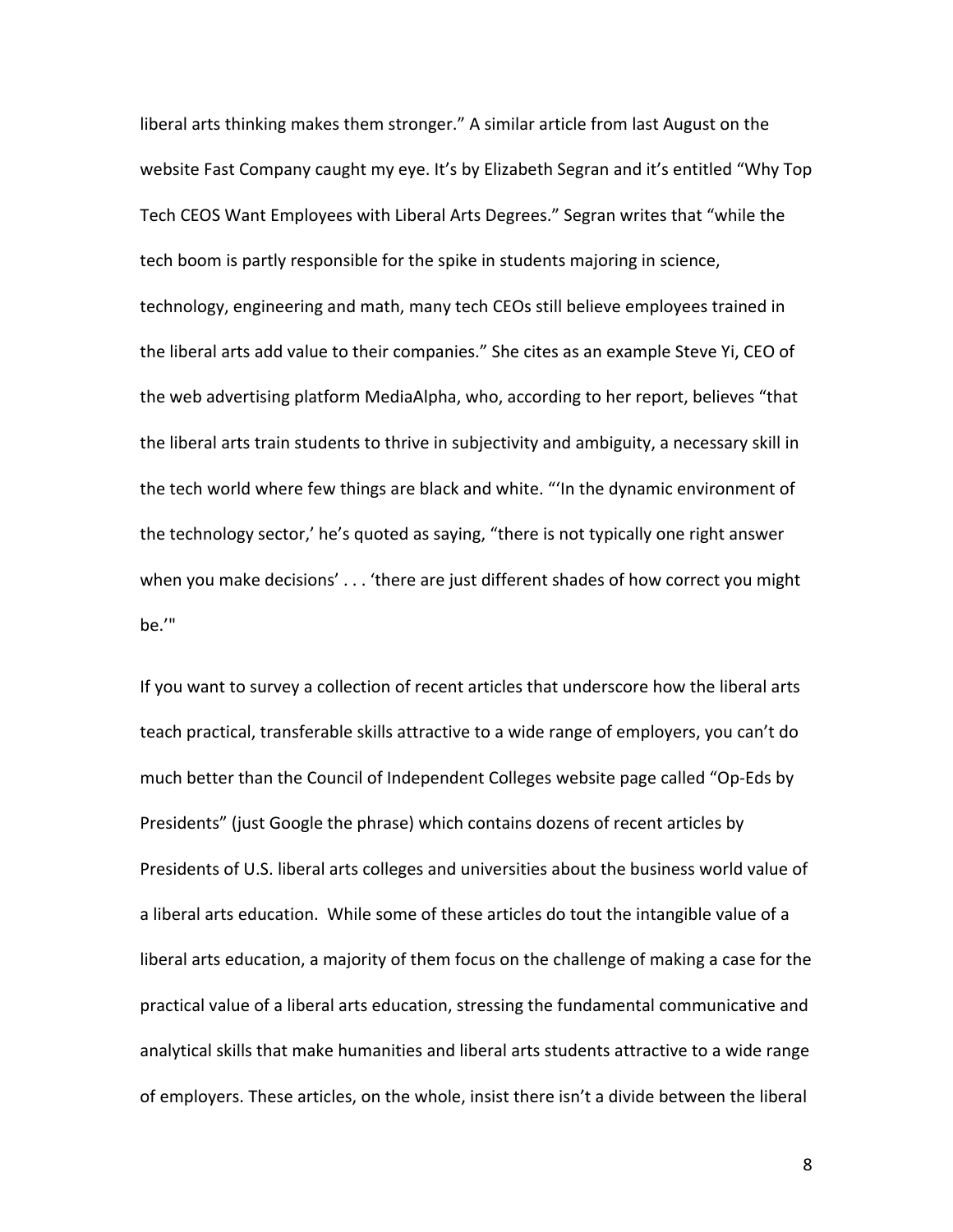liberal arts thinking makes them stronger." A similar article from last August on the website Fast Company caught my eye. It's by Elizabeth Segran and it's entitled "Why Top Tech CEOS Want Employees with Liberal Arts Degrees." Segran writes that "while the tech boom is partly responsible for the spike in students majoring in science, technology, engineering and math, many tech CEOs still believe employees trained in the liberal arts add value to their companies." She cites as an example Steve Yi, CEO of the web advertising platform MediaAlpha, who, according to her report, believes "that the liberal arts train students to thrive in subjectivity and ambiguity, a necessary skill in the tech world where few things are black and white. "'In the dynamic environment of the technology sector,' he's quoted as saying, "there is not typically one right answer when you make decisions'  $\dots$  'there are just different shades of how correct you might be.'" 

If you want to survey a collection of recent articles that underscore how the liberal arts teach practical, transferable skills attractive to a wide range of employers, you can't do much better than the Council of Independent Colleges website page called "Op-Eds by Presidents" (just Google the phrase) which contains dozens of recent articles by Presidents of U.S. liberal arts colleges and universities about the business world value of a liberal arts education. While some of these articles do tout the intangible value of a liberal arts education, a majority of them focus on the challenge of making a case for the practical value of a liberal arts education, stressing the fundamental communicative and analytical skills that make humanities and liberal arts students attractive to a wide range of employers. These articles, on the whole, insist there isn't a divide between the liberal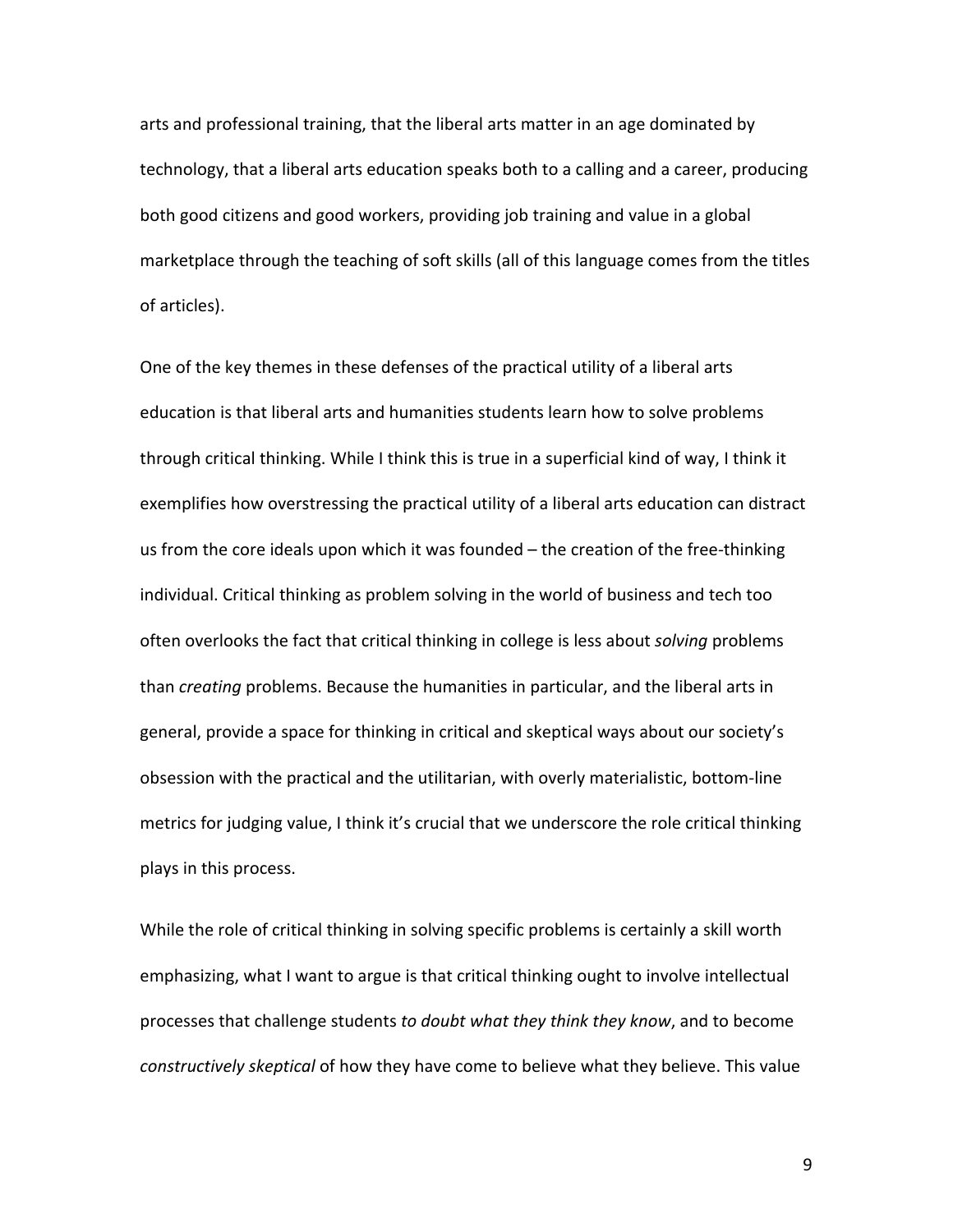arts and professional training, that the liberal arts matter in an age dominated by technology, that a liberal arts education speaks both to a calling and a career, producing both good citizens and good workers, providing job training and value in a global marketplace through the teaching of soft skills (all of this language comes from the titles of articles).

One of the key themes in these defenses of the practical utility of a liberal arts education is that liberal arts and humanities students learn how to solve problems through critical thinking. While I think this is true in a superficial kind of way, I think it exemplifies how overstressing the practical utility of a liberal arts education can distract us from the core ideals upon which it was founded  $-$  the creation of the free-thinking individual. Critical thinking as problem solving in the world of business and tech too often overlooks the fact that critical thinking in college is less about *solving* problems than *creating* problems. Because the humanities in particular, and the liberal arts in general, provide a space for thinking in critical and skeptical ways about our society's obsession with the practical and the utilitarian, with overly materialistic, bottom-line metrics for judging value, I think it's crucial that we underscore the role critical thinking plays in this process.

While the role of critical thinking in solving specific problems is certainly a skill worth emphasizing, what I want to argue is that critical thinking ought to involve intellectual processes that challenge students to doubt what they think they know, and to become *constructively skeptical* of how they have come to believe what they believe. This value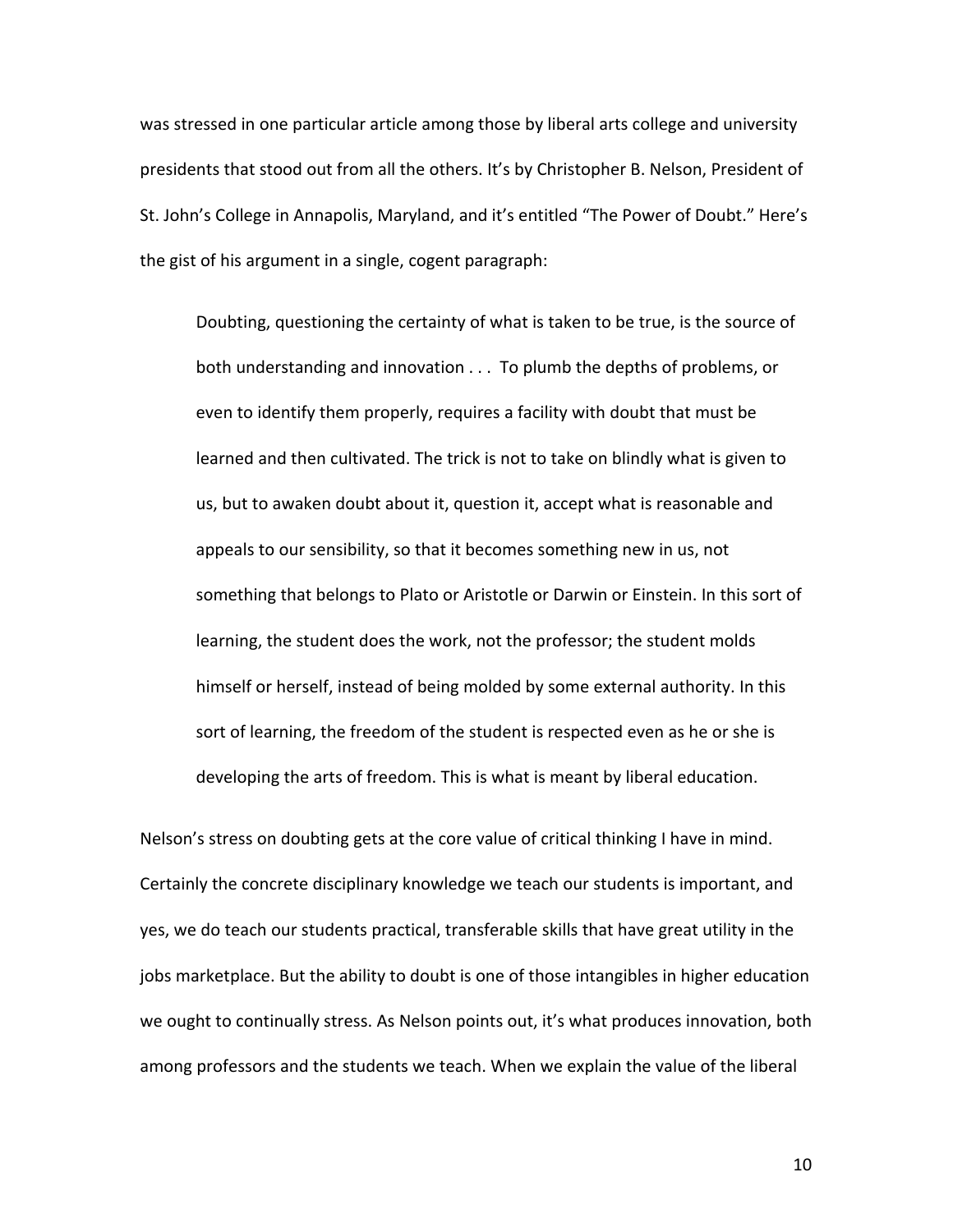was stressed in one particular article among those by liberal arts college and university presidents that stood out from all the others. It's by Christopher B. Nelson, President of St. John's College in Annapolis, Maryland, and it's entitled "The Power of Doubt." Here's the gist of his argument in a single, cogent paragraph:

Doubting, questioning the certainty of what is taken to be true, is the source of both understanding and innovation . . . To plumb the depths of problems, or even to identify them properly, requires a facility with doubt that must be learned and then cultivated. The trick is not to take on blindly what is given to us, but to awaken doubt about it, question it, accept what is reasonable and appeals to our sensibility, so that it becomes something new in us, not something that belongs to Plato or Aristotle or Darwin or Einstein. In this sort of learning, the student does the work, not the professor; the student molds himself or herself, instead of being molded by some external authority. In this sort of learning, the freedom of the student is respected even as he or she is developing the arts of freedom. This is what is meant by liberal education.

Nelson's stress on doubting gets at the core value of critical thinking I have in mind. Certainly the concrete disciplinary knowledge we teach our students is important, and yes, we do teach our students practical, transferable skills that have great utility in the jobs marketplace. But the ability to doubt is one of those intangibles in higher education we ought to continually stress. As Nelson points out, it's what produces innovation, both among professors and the students we teach. When we explain the value of the liberal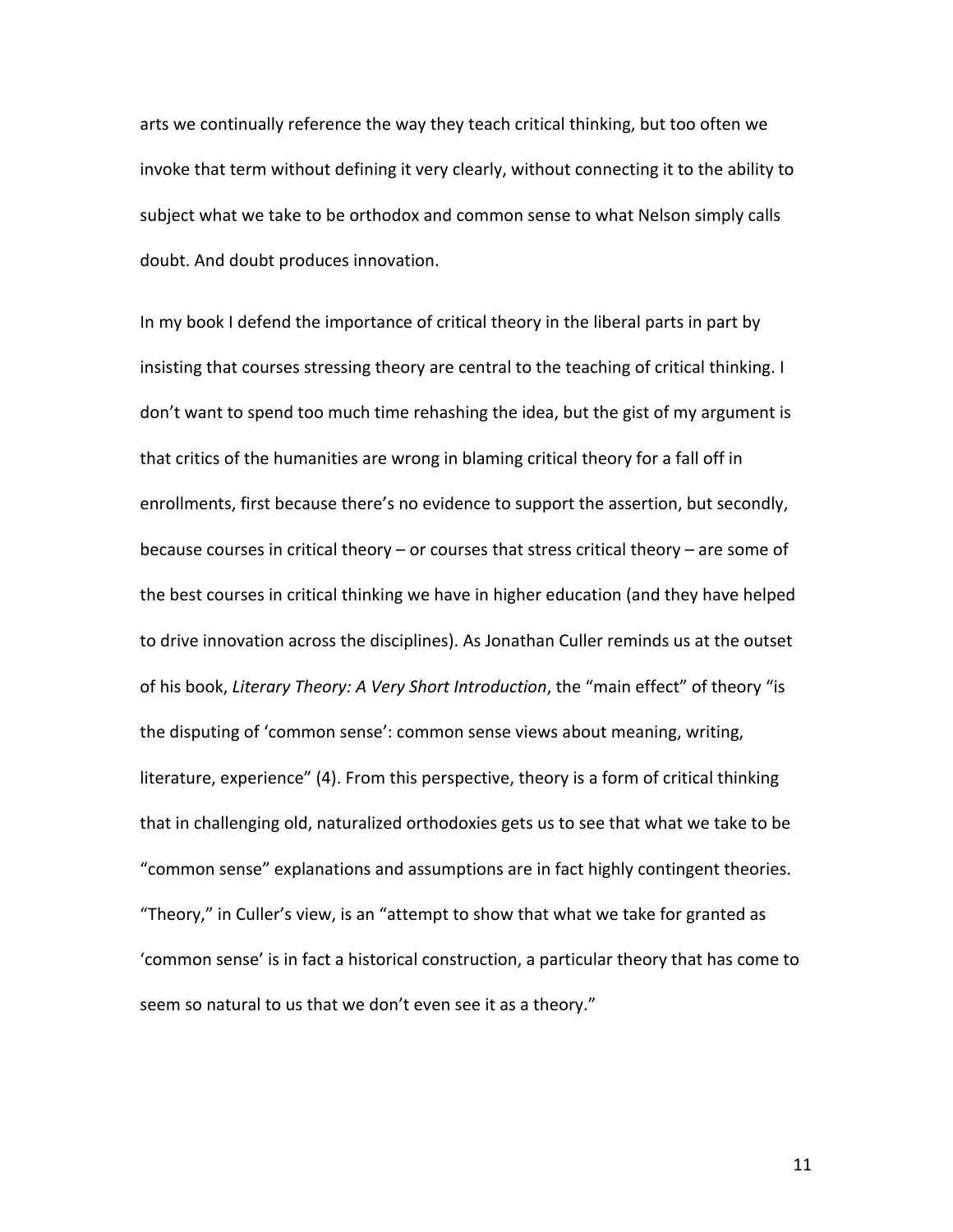arts we continually reference the way they teach critical thinking, but too often we invoke that term without defining it very clearly, without connecting it to the ability to subject what we take to be orthodox and common sense to what Nelson simply calls doubt. And doubt produces innovation.

In my book I defend the importance of critical theory in the liberal parts in part by insisting that courses stressing theory are central to the teaching of critical thinking. I don't want to spend too much time rehashing the idea, but the gist of my argument is that critics of the humanities are wrong in blaming critical theory for a fall off in enrollments, first because there's no evidence to support the assertion, but secondly, because courses in critical theory  $-$  or courses that stress critical theory  $-$  are some of the best courses in critical thinking we have in higher education (and they have helped to drive innovation across the disciplines). As Jonathan Culler reminds us at the outset of his book, *Literary Theory: A Very Short Introduction*, the "main effect" of theory "is the disputing of 'common sense': common sense views about meaning, writing, literature, experience" (4). From this perspective, theory is a form of critical thinking that in challenging old, naturalized orthodoxies gets us to see that what we take to be "common sense" explanations and assumptions are in fact highly contingent theories. "Theory," in Culler's view, is an "attempt to show that what we take for granted as 'common sense' is in fact a historical construction, a particular theory that has come to seem so natural to us that we don't even see it as a theory."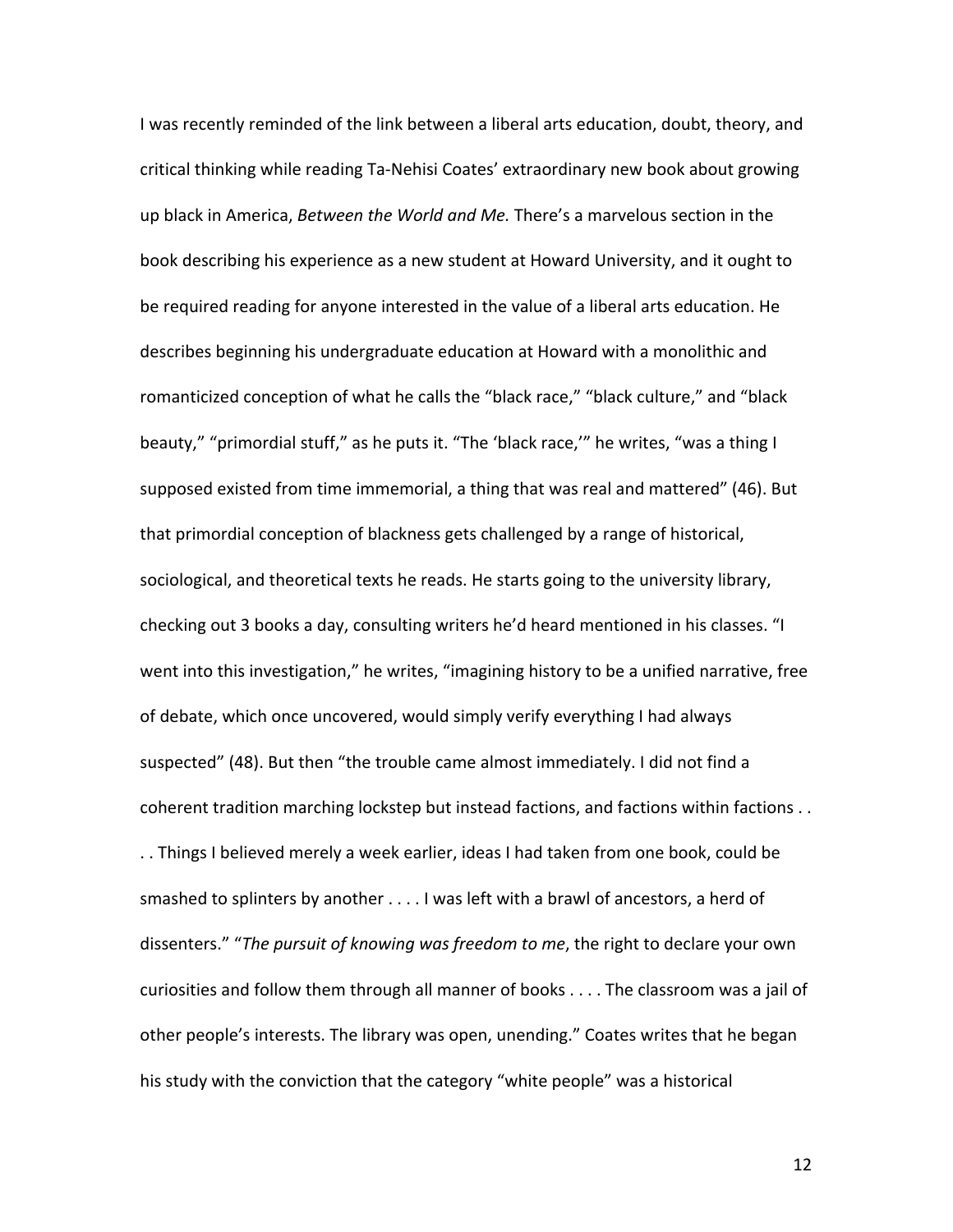I was recently reminded of the link between a liberal arts education, doubt, theory, and critical thinking while reading Ta-Nehisi Coates' extraordinary new book about growing up black in America, *Between the World and Me*. There's a marvelous section in the book describing his experience as a new student at Howard University, and it ought to be required reading for anyone interested in the value of a liberal arts education. He describes beginning his undergraduate education at Howard with a monolithic and romanticized conception of what he calls the "black race," "black culture," and "black beauty," "primordial stuff," as he puts it. "The 'black race,'" he writes, "was a thing I supposed existed from time immemorial, a thing that was real and mattered" (46). But that primordial conception of blackness gets challenged by a range of historical, sociological, and theoretical texts he reads. He starts going to the university library, checking out 3 books a day, consulting writers he'd heard mentioned in his classes. "I went into this investigation," he writes, "imagining history to be a unified narrative, free of debate, which once uncovered, would simply verify everything I had always suspected" (48). But then "the trouble came almost immediately. I did not find a coherent tradition marching lockstep but instead factions, and factions within factions . . .. Things I believed merely a week earlier, ideas I had taken from one book, could be smashed to splinters by another  $\dots$  I was left with a brawl of ancestors, a herd of dissenters." "The pursuit of knowing was freedom to me, the right to declare your own curiosities and follow them through all manner of books  $\dots$ . The classroom was a jail of other people's interests. The library was open, unending." Coates writes that he began his study with the conviction that the category "white people" was a historical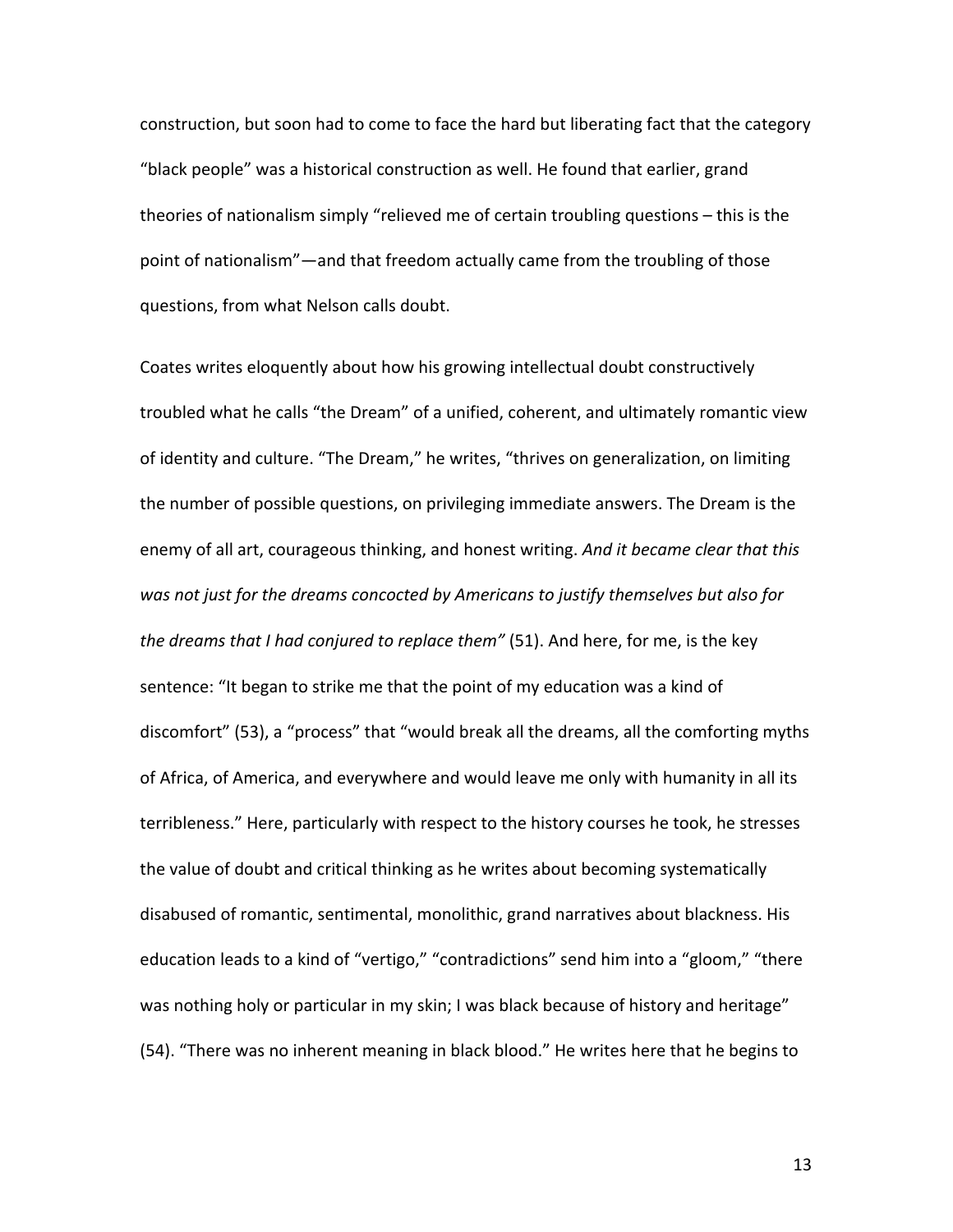construction, but soon had to come to face the hard but liberating fact that the category "black people" was a historical construction as well. He found that earlier, grand theories of nationalism simply "relieved me of certain troubling questions  $-$  this is the point of nationalism"—and that freedom actually came from the troubling of those questions, from what Nelson calls doubt.

Coates writes eloquently about how his growing intellectual doubt constructively troubled what he calls "the Dream" of a unified, coherent, and ultimately romantic view of identity and culture. "The Dream," he writes, "thrives on generalization, on limiting the number of possible questions, on privileging immediate answers. The Dream is the enemy of all art, courageous thinking, and honest writing. And it became clear that this was not just for the dreams concocted by Americans to justify themselves but also for *the dreams that I had conjured to replace them"* (51). And here, for me, is the key sentence: "It began to strike me that the point of my education was a kind of discomfort" (53), a "process" that "would break all the dreams, all the comforting myths of Africa, of America, and everywhere and would leave me only with humanity in all its terribleness." Here, particularly with respect to the history courses he took, he stresses the value of doubt and critical thinking as he writes about becoming systematically disabused of romantic, sentimental, monolithic, grand narratives about blackness. His education leads to a kind of "vertigo," "contradictions" send him into a "gloom," "there was nothing holy or particular in my skin; I was black because of history and heritage" (54). "There was no inherent meaning in black blood." He writes here that he begins to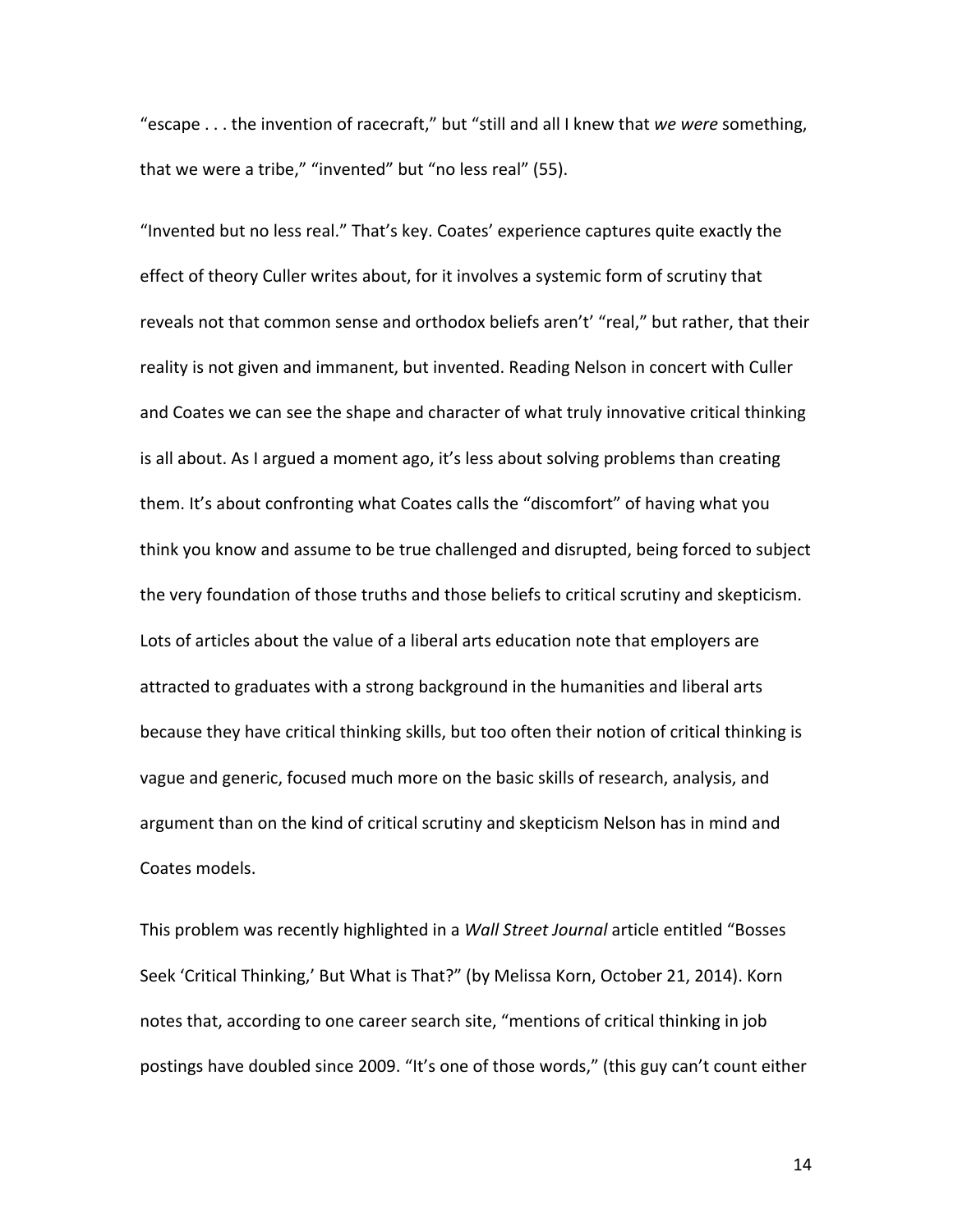"escape . . . the invention of racecraft," but "still and all I knew that we were something, that we were a tribe," "invented" but "no less real" (55).

"Invented but no less real." That's key. Coates' experience captures quite exactly the effect of theory Culler writes about, for it involves a systemic form of scrutiny that reveals not that common sense and orthodox beliefs aren't' "real," but rather, that their reality is not given and immanent, but invented. Reading Nelson in concert with Culler and Coates we can see the shape and character of what truly innovative critical thinking is all about. As I argued a moment ago, it's less about solving problems than creating them. It's about confronting what Coates calls the "discomfort" of having what you think you know and assume to be true challenged and disrupted, being forced to subject the very foundation of those truths and those beliefs to critical scrutiny and skepticism. Lots of articles about the value of a liberal arts education note that employers are attracted to graduates with a strong background in the humanities and liberal arts because they have critical thinking skills, but too often their notion of critical thinking is vague and generic, focused much more on the basic skills of research, analysis, and argument than on the kind of critical scrutiny and skepticism Nelson has in mind and Coates models.

This problem was recently highlighted in a *Wall Street Journal* article entitled "Bosses Seek 'Critical Thinking,' But What is That?" (by Melissa Korn, October 21, 2014). Korn notes that, according to one career search site, "mentions of critical thinking in job postings have doubled since 2009. "It's one of those words," (this guy can't count either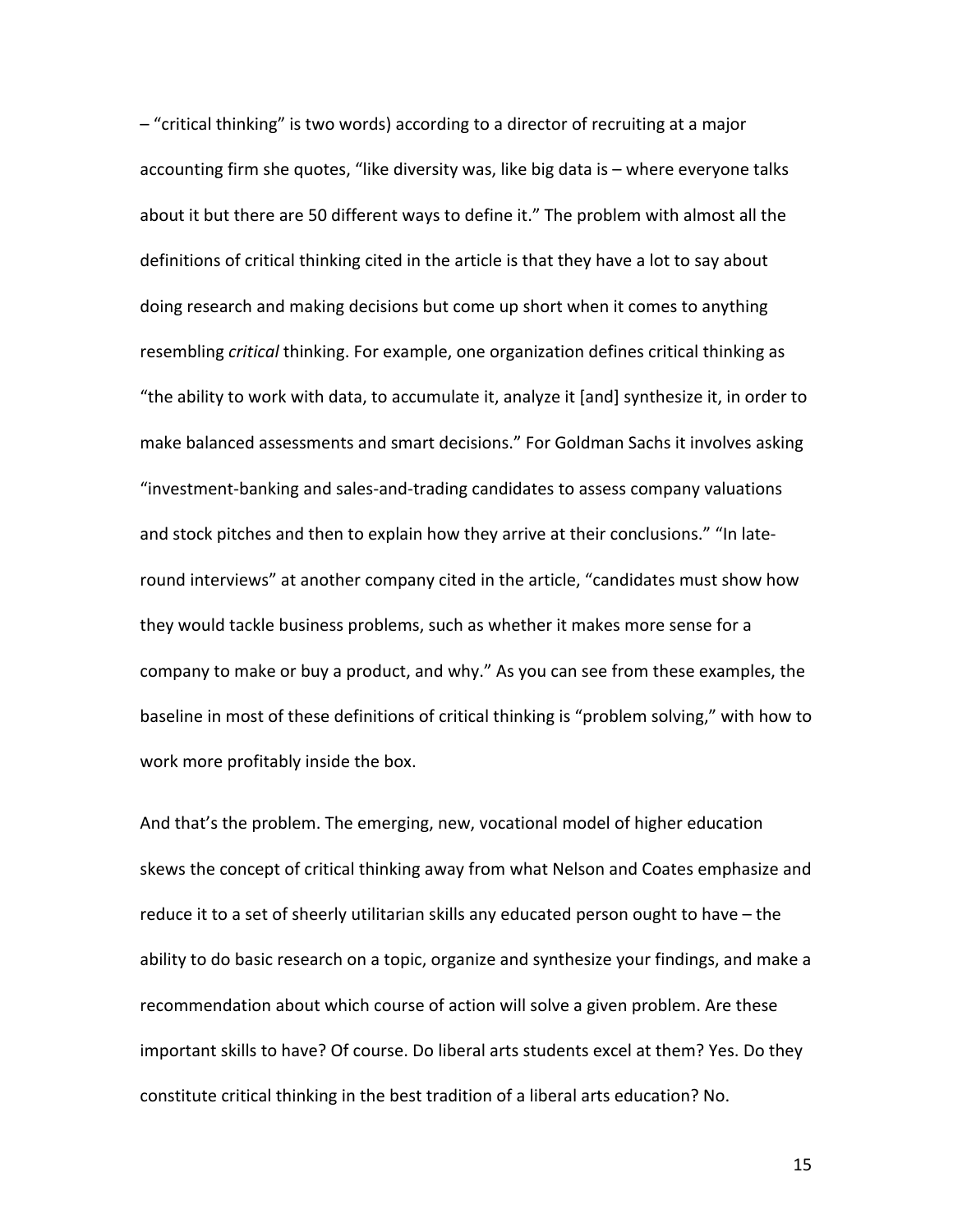$-$  "critical thinking" is two words) according to a director of recruiting at a major accounting firm she quotes, "like diversity was, like big data is - where everyone talks about it but there are 50 different ways to define it." The problem with almost all the definitions of critical thinking cited in the article is that they have a lot to say about doing research and making decisions but come up short when it comes to anything resembling *critical* thinking. For example, one organization defines critical thinking as "the ability to work with data, to accumulate it, analyze it [and] synthesize it, in order to make balanced assessments and smart decisions." For Goldman Sachs it involves asking "investment-banking and sales-and-trading candidates to assess company valuations and stock pitches and then to explain how they arrive at their conclusions." "In lateround interviews" at another company cited in the article, "candidates must show how they would tackle business problems, such as whether it makes more sense for a company to make or buy a product, and why." As you can see from these examples, the baseline in most of these definitions of critical thinking is "problem solving," with how to work more profitably inside the box.

And that's the problem. The emerging, new, vocational model of higher education skews the concept of critical thinking away from what Nelson and Coates emphasize and reduce it to a set of sheerly utilitarian skills any educated person ought to have  $-$  the ability to do basic research on a topic, organize and synthesize your findings, and make a recommendation about which course of action will solve a given problem. Are these important skills to have? Of course. Do liberal arts students excel at them? Yes. Do they constitute critical thinking in the best tradition of a liberal arts education? No.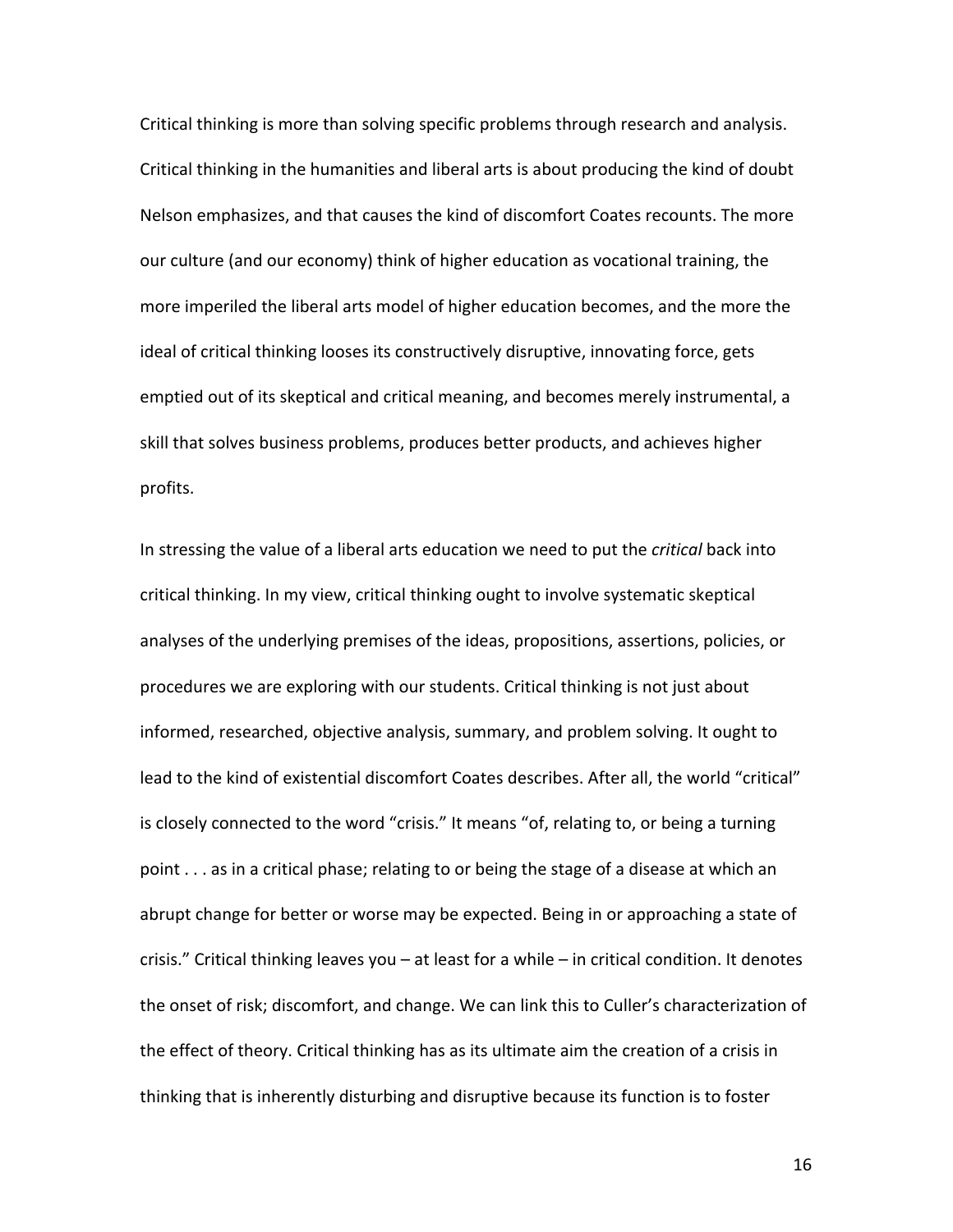Critical thinking is more than solving specific problems through research and analysis. Critical thinking in the humanities and liberal arts is about producing the kind of doubt Nelson emphasizes, and that causes the kind of discomfort Coates recounts. The more our culture (and our economy) think of higher education as vocational training, the more imperiled the liberal arts model of higher education becomes, and the more the ideal of critical thinking looses its constructively disruptive, innovating force, gets emptied out of its skeptical and critical meaning, and becomes merely instrumental, a skill that solves business problems, produces better products, and achieves higher profits.

In stressing the value of a liberal arts education we need to put the *critical* back into critical thinking. In my view, critical thinking ought to involve systematic skeptical analyses of the underlying premises of the ideas, propositions, assertions, policies, or procedures we are exploring with our students. Critical thinking is not just about informed, researched, objective analysis, summary, and problem solving. It ought to lead to the kind of existential discomfort Coates describes. After all, the world "critical" is closely connected to the word "crisis." It means "of, relating to, or being a turning point  $\dots$  as in a critical phase; relating to or being the stage of a disease at which an abrupt change for better or worse may be expected. Being in or approaching a state of crisis." Critical thinking leaves you  $-$  at least for a while  $-$  in critical condition. It denotes the onset of risk; discomfort, and change. We can link this to Culler's characterization of the effect of theory. Critical thinking has as its ultimate aim the creation of a crisis in thinking that is inherently disturbing and disruptive because its function is to foster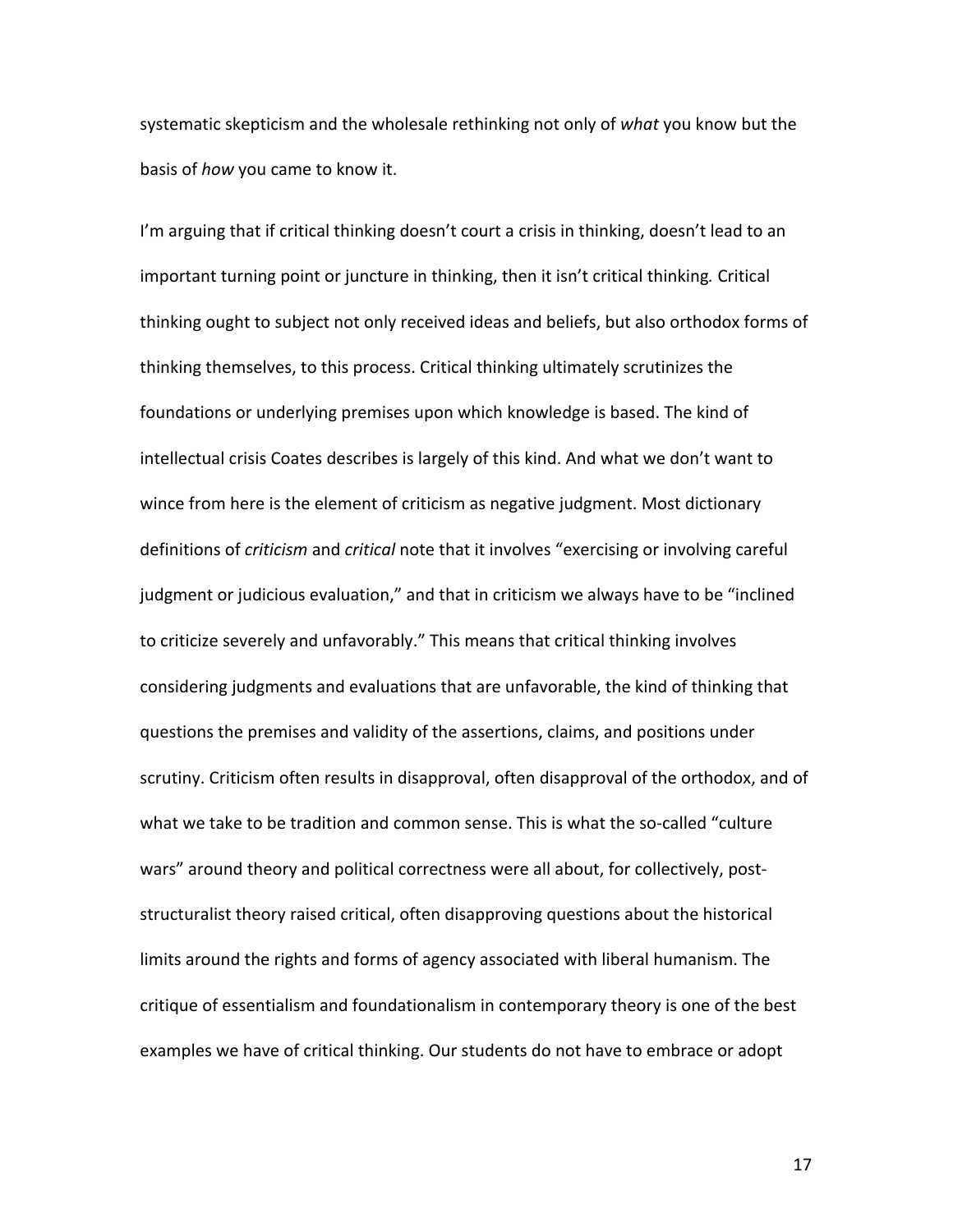systematic skepticism and the wholesale rethinking not only of what you know but the basis of *how* you came to know it.

I'm arguing that if critical thinking doesn't court a crisis in thinking, doesn't lead to an important turning point or juncture in thinking, then it isn't critical thinking. Critical thinking ought to subject not only received ideas and beliefs, but also orthodox forms of thinking themselves, to this process. Critical thinking ultimately scrutinizes the foundations or underlying premises upon which knowledge is based. The kind of intellectual crisis Coates describes is largely of this kind. And what we don't want to wince from here is the element of criticism as negative judgment. Most dictionary definitions of *criticism* and *critical* note that it involves "exercising or involving careful judgment or judicious evaluation," and that in criticism we always have to be "inclined to criticize severely and unfavorably." This means that critical thinking involves considering judgments and evaluations that are unfavorable, the kind of thinking that questions the premises and validity of the assertions, claims, and positions under scrutiny. Criticism often results in disapproval, often disapproval of the orthodox, and of what we take to be tradition and common sense. This is what the so-called "culture wars" around theory and political correctness were all about, for collectively, poststructuralist theory raised critical, often disapproving questions about the historical limits around the rights and forms of agency associated with liberal humanism. The critique of essentialism and foundationalism in contemporary theory is one of the best examples we have of critical thinking. Our students do not have to embrace or adopt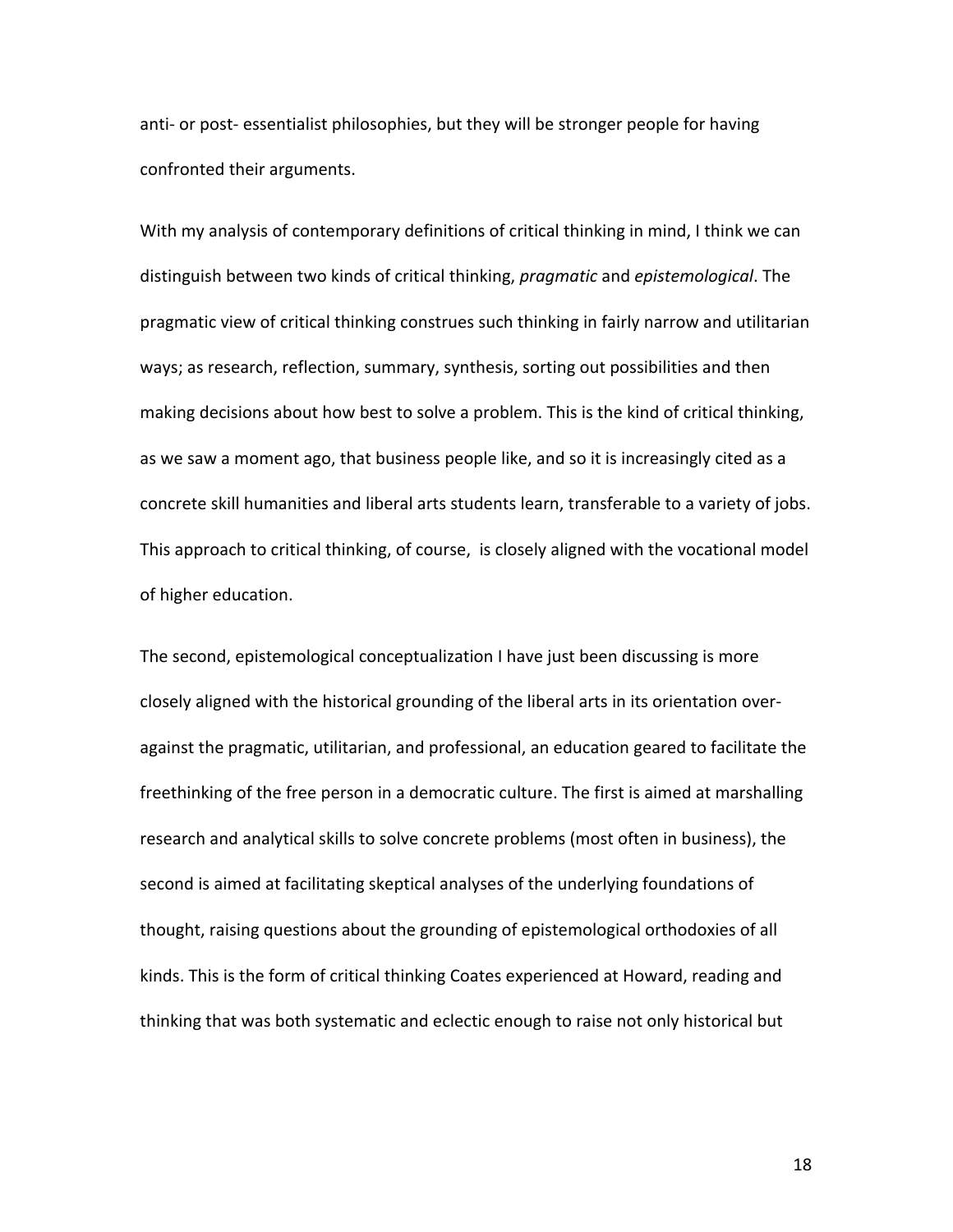anti- or post- essentialist philosophies, but they will be stronger people for having confronted their arguments.

With my analysis of contemporary definitions of critical thinking in mind, I think we can distinguish between two kinds of critical thinking, *pragmatic* and *epistemological*. The pragmatic view of critical thinking construes such thinking in fairly narrow and utilitarian ways; as research, reflection, summary, synthesis, sorting out possibilities and then making decisions about how best to solve a problem. This is the kind of critical thinking, as we saw a moment ago, that business people like, and so it is increasingly cited as a concrete skill humanities and liberal arts students learn, transferable to a variety of jobs. This approach to critical thinking, of course, is closely aligned with the vocational model of higher education.

The second, epistemological conceptualization I have just been discussing is more closely aligned with the historical grounding of the liberal arts in its orientation overagainst the pragmatic, utilitarian, and professional, an education geared to facilitate the freethinking of the free person in a democratic culture. The first is aimed at marshalling research and analytical skills to solve concrete problems (most often in business), the second is aimed at facilitating skeptical analyses of the underlying foundations of thought, raising questions about the grounding of epistemological orthodoxies of all kinds. This is the form of critical thinking Coates experienced at Howard, reading and thinking that was both systematic and eclectic enough to raise not only historical but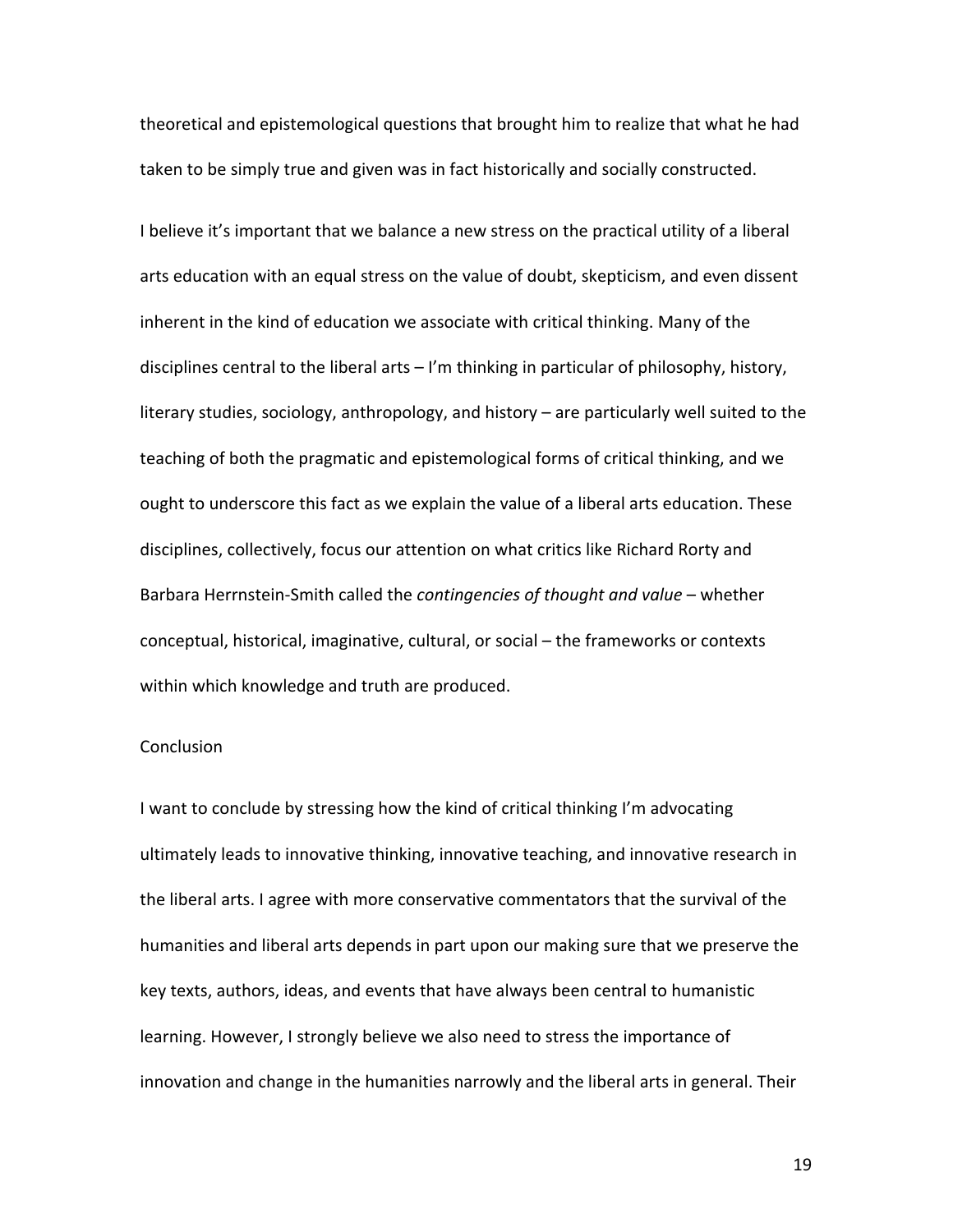theoretical and epistemological questions that brought him to realize that what he had taken to be simply true and given was in fact historically and socially constructed.

I believe it's important that we balance a new stress on the practical utility of a liberal arts education with an equal stress on the value of doubt, skepticism, and even dissent inherent in the kind of education we associate with critical thinking. Many of the disciplines central to the liberal arts  $-1$ 'm thinking in particular of philosophy, history, literary studies, sociology, anthropology, and history  $-$  are particularly well suited to the teaching of both the pragmatic and epistemological forms of critical thinking, and we ought to underscore this fact as we explain the value of a liberal arts education. These disciplines, collectively, focus our attention on what critics like Richard Rorty and Barbara Herrnstein-Smith called the *contingencies of thought and value* – whether conceptual, historical, imaginative, cultural, or social – the frameworks or contexts within which knowledge and truth are produced.

#### **Conclusion**

I want to conclude by stressing how the kind of critical thinking I'm advocating ultimately leads to innovative thinking, innovative teaching, and innovative research in the liberal arts. I agree with more conservative commentators that the survival of the humanities and liberal arts depends in part upon our making sure that we preserve the key texts, authors, ideas, and events that have always been central to humanistic learning. However, I strongly believe we also need to stress the importance of innovation and change in the humanities narrowly and the liberal arts in general. Their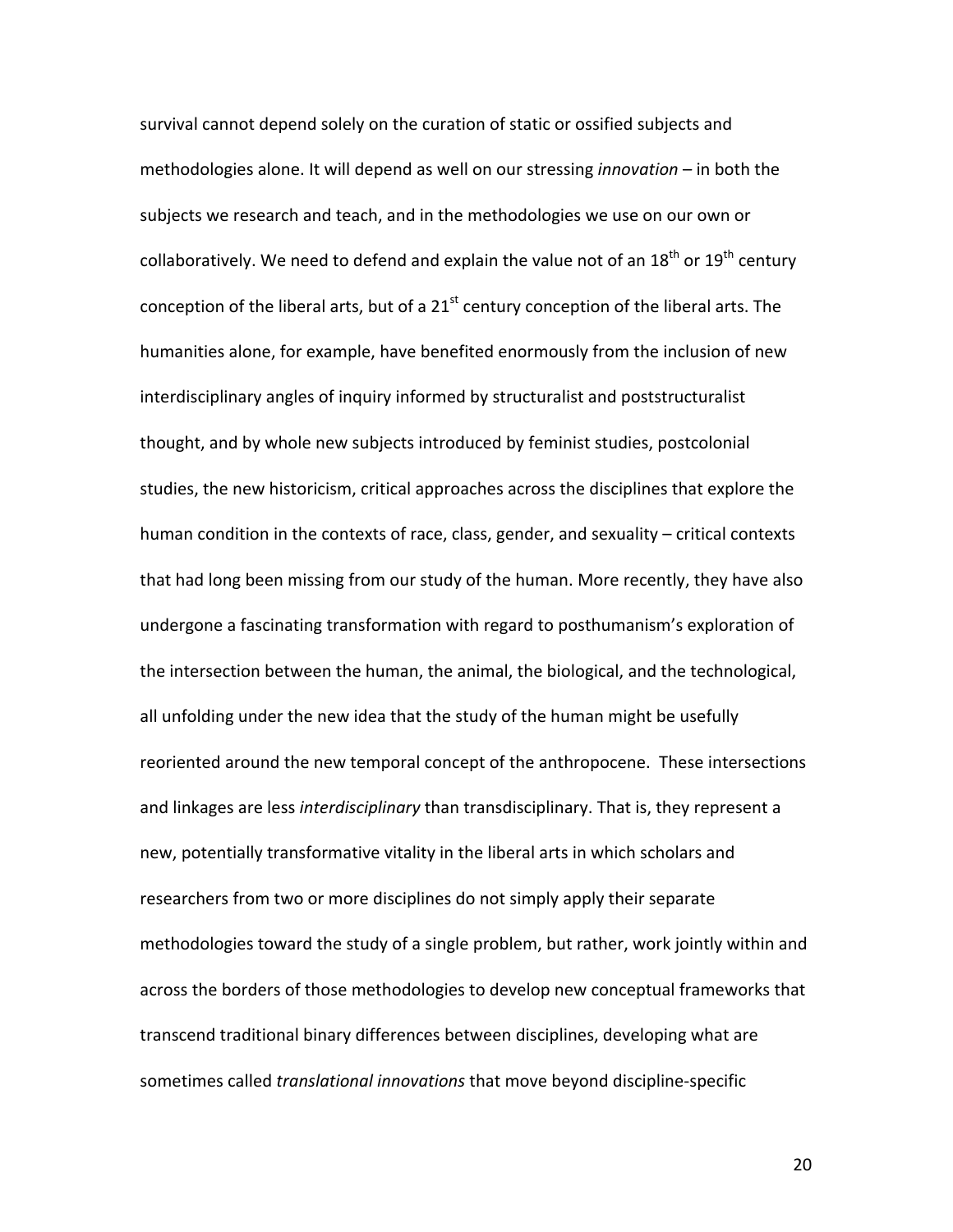survival cannot depend solely on the curation of static or ossified subjects and methodologies alone. It will depend as well on our stressing *innovation* – in both the subjects we research and teach, and in the methodologies we use on our own or collaboratively. We need to defend and explain the value not of an  $18^{th}$  or  $19^{th}$  century conception of the liberal arts, but of a  $21<sup>st</sup>$  century conception of the liberal arts. The humanities alone, for example, have benefited enormously from the inclusion of new interdisciplinary angles of inquiry informed by structuralist and poststructuralist thought, and by whole new subjects introduced by feminist studies, postcolonial studies, the new historicism, critical approaches across the disciplines that explore the human condition in the contexts of race, class, gender, and sexuality – critical contexts that had long been missing from our study of the human. More recently, they have also undergone a fascinating transformation with regard to posthumanism's exploration of the intersection between the human, the animal, the biological, and the technological, all unfolding under the new idea that the study of the human might be usefully reoriented around the new temporal concept of the anthropocene. These intersections and linkages are less *interdisciplinary* than transdisciplinary. That is, they represent a new, potentially transformative vitality in the liberal arts in which scholars and researchers from two or more disciplines do not simply apply their separate methodologies toward the study of a single problem, but rather, work jointly within and across the borders of those methodologies to develop new conceptual frameworks that transcend traditional binary differences between disciplines, developing what are sometimes called *translational innovations* that move beyond discipline-specific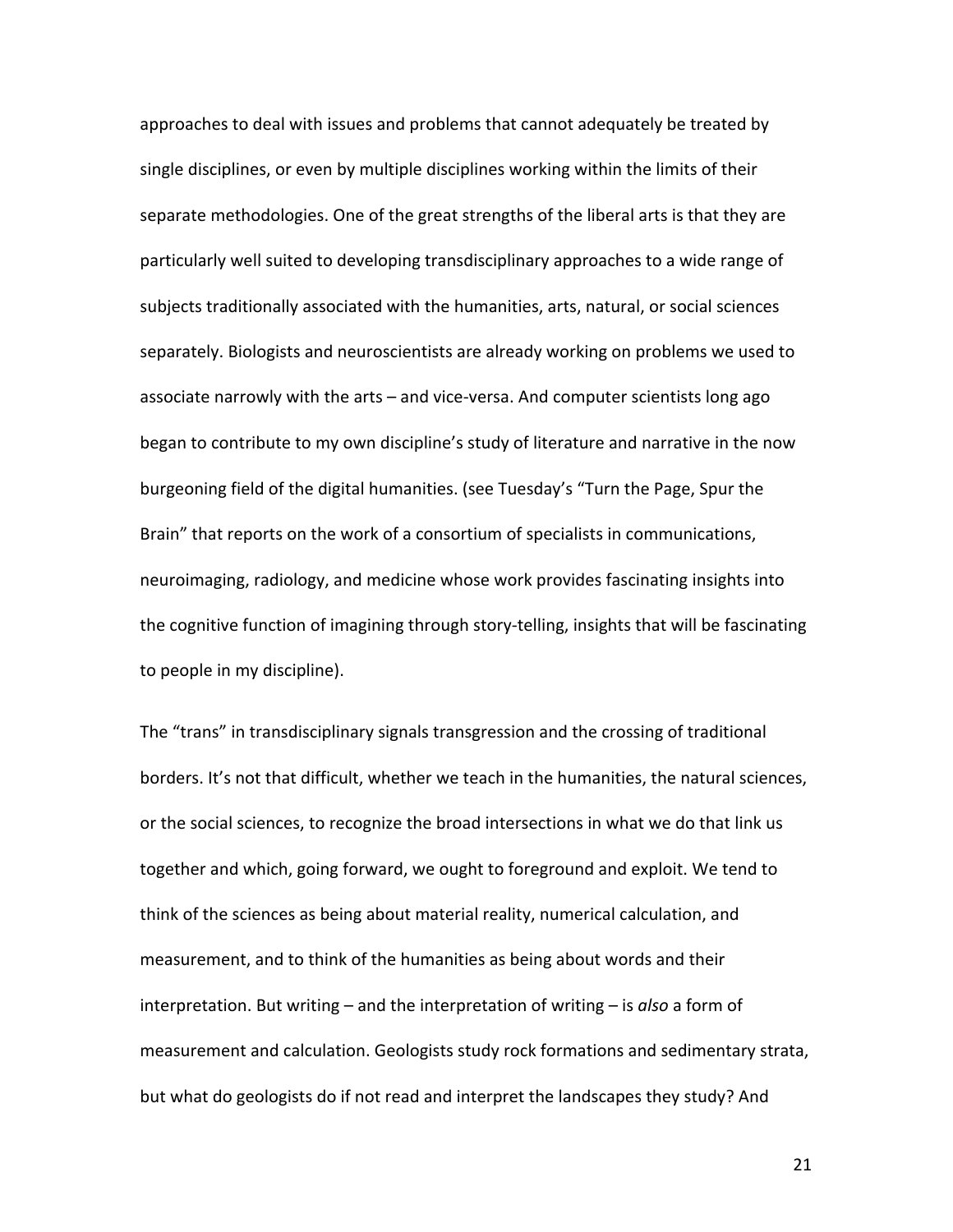approaches to deal with issues and problems that cannot adequately be treated by single disciplines, or even by multiple disciplines working within the limits of their separate methodologies. One of the great strengths of the liberal arts is that they are particularly well suited to developing transdisciplinary approaches to a wide range of subjects traditionally associated with the humanities, arts, natural, or social sciences separately. Biologists and neuroscientists are already working on problems we used to associate narrowly with the arts – and vice-versa. And computer scientists long ago began to contribute to my own discipline's study of literature and narrative in the now burgeoning field of the digital humanities. (see Tuesday's "Turn the Page, Spur the Brain" that reports on the work of a consortium of specialists in communications, neuroimaging, radiology, and medicine whose work provides fascinating insights into the cognitive function of imagining through story-telling, insights that will be fascinating to people in my discipline).

The "trans" in transdisciplinary signals transgression and the crossing of traditional borders. It's not that difficult, whether we teach in the humanities, the natural sciences, or the social sciences, to recognize the broad intersections in what we do that link us together and which, going forward, we ought to foreground and exploit. We tend to think of the sciences as being about material reality, numerical calculation, and measurement, and to think of the humanities as being about words and their interpretation. But writing – and the interpretation of writing – is also a form of measurement and calculation. Geologists study rock formations and sedimentary strata, but what do geologists do if not read and interpret the landscapes they study? And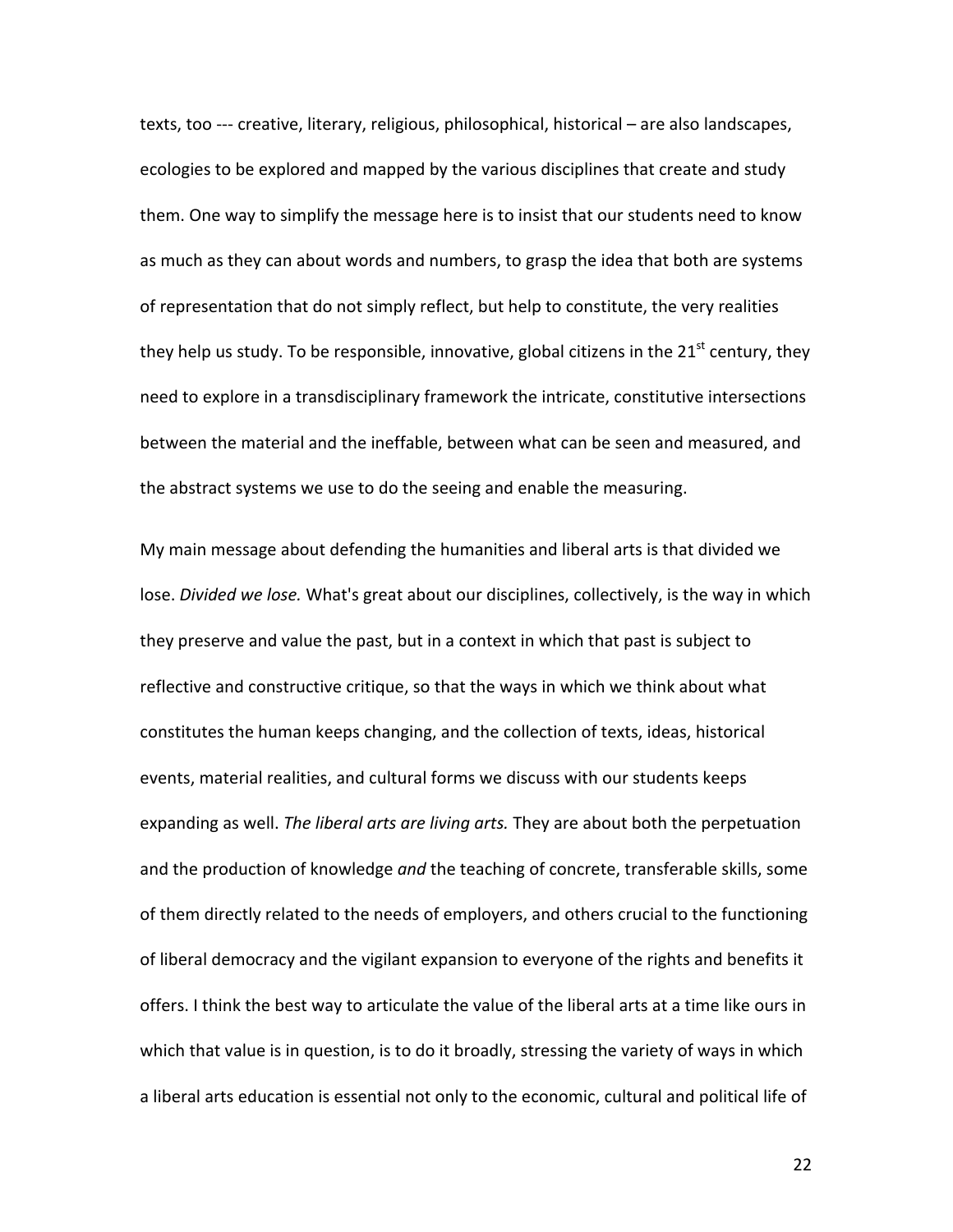texts, too --- creative, literary, religious, philosophical, historical – are also landscapes, ecologies to be explored and mapped by the various disciplines that create and study them. One way to simplify the message here is to insist that our students need to know as much as they can about words and numbers, to grasp the idea that both are systems of representation that do not simply reflect, but help to constitute, the very realities they help us study. To be responsible, innovative, global citizens in the  $21<sup>st</sup>$  century, they need to explore in a transdisciplinary framework the intricate, constitutive intersections between the material and the ineffable, between what can be seen and measured, and the abstract systems we use to do the seeing and enable the measuring.

My main message about defending the humanities and liberal arts is that divided we lose. *Divided we lose.* What's great about our disciplines, collectively, is the way in which they preserve and value the past, but in a context in which that past is subject to reflective and constructive critique, so that the ways in which we think about what constitutes the human keeps changing, and the collection of texts, ideas, historical events, material realities, and cultural forms we discuss with our students keeps expanding as well. The liberal arts are living arts. They are about both the perpetuation and the production of knowledge and the teaching of concrete, transferable skills, some of them directly related to the needs of employers, and others crucial to the functioning of liberal democracy and the vigilant expansion to everyone of the rights and benefits it offers. I think the best way to articulate the value of the liberal arts at a time like ours in which that value is in question, is to do it broadly, stressing the variety of ways in which a liberal arts education is essential not only to the economic, cultural and political life of